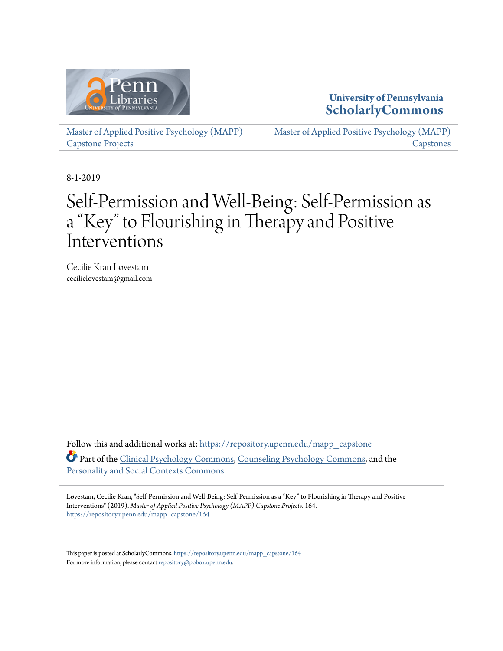

## **University of Pennsylvania [ScholarlyCommons](https://repository.upenn.edu/?utm_source=repository.upenn.edu%2Fmapp_capstone%2F164&utm_medium=PDF&utm_campaign=PDFCoverPages)**

[Master of Applied Positive Psychology \(MAPP\)](https://repository.upenn.edu/mapp_capstone?utm_source=repository.upenn.edu%2Fmapp_capstone%2F164&utm_medium=PDF&utm_campaign=PDFCoverPages) [Capstone Projects](https://repository.upenn.edu/mapp_capstone?utm_source=repository.upenn.edu%2Fmapp_capstone%2F164&utm_medium=PDF&utm_campaign=PDFCoverPages)

[Master of Applied Positive Psychology \(MAPP\)](https://repository.upenn.edu/mapp_capstones?utm_source=repository.upenn.edu%2Fmapp_capstone%2F164&utm_medium=PDF&utm_campaign=PDFCoverPages) **[Capstones](https://repository.upenn.edu/mapp_capstones?utm_source=repository.upenn.edu%2Fmapp_capstone%2F164&utm_medium=PDF&utm_campaign=PDFCoverPages)** 

8-1-2019

# Self-Permission and Well-Being: Self-Permission as a "Key" to Flourishing in Therapy and Positive Interventions

Cecilie Kran Løvestam cecilielovestam@gmail.com

Follow this and additional works at: [https://repository.upenn.edu/mapp\\_capstone](https://repository.upenn.edu/mapp_capstone?utm_source=repository.upenn.edu%2Fmapp_capstone%2F164&utm_medium=PDF&utm_campaign=PDFCoverPages) Part of the [Clinical Psychology Commons,](http://network.bepress.com/hgg/discipline/406?utm_source=repository.upenn.edu%2Fmapp_capstone%2F164&utm_medium=PDF&utm_campaign=PDFCoverPages) [Counseling Psychology Commons,](http://network.bepress.com/hgg/discipline/1044?utm_source=repository.upenn.edu%2Fmapp_capstone%2F164&utm_medium=PDF&utm_campaign=PDFCoverPages) and the [Personality and Social Contexts Commons](http://network.bepress.com/hgg/discipline/413?utm_source=repository.upenn.edu%2Fmapp_capstone%2F164&utm_medium=PDF&utm_campaign=PDFCoverPages)

Løvestam, Cecilie Kran, "Self-Permission and Well-Being: Self-Permission as a "Key" to Flourishing in Therapy and Positive Interventions" (2019). *Master of Applied Positive Psychology (MAPP) Capstone Projects*. 164. [https://repository.upenn.edu/mapp\\_capstone/164](https://repository.upenn.edu/mapp_capstone/164?utm_source=repository.upenn.edu%2Fmapp_capstone%2F164&utm_medium=PDF&utm_campaign=PDFCoverPages)

This paper is posted at ScholarlyCommons. [https://repository.upenn.edu/mapp\\_capstone/164](https://repository.upenn.edu/mapp_capstone/164) For more information, please contact [repository@pobox.upenn.edu.](mailto:repository@pobox.upenn.edu)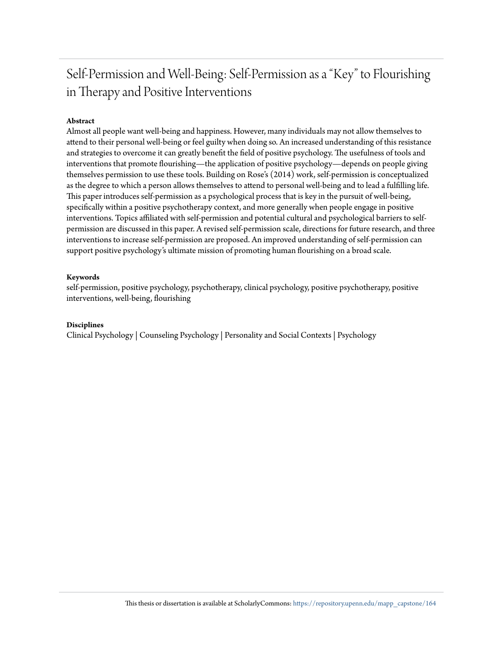## Self-Permission and Well-Being: Self-Permission as a "Key" to Flourishing in Therapy and Positive Interventions

#### **Abstract**

Almost all people want well-being and happiness. However, many individuals may not allow themselves to attend to their personal well-being or feel guilty when doing so. An increased understanding of this resistance and strategies to overcome it can greatly benefit the field of positive psychology. The usefulness of tools and interventions that promote flourishing—the application of positive psychology—depends on people giving themselves permission to use these tools. Building on Rose's (2014) work, self-permission is conceptualized as the degree to which a person allows themselves to attend to personal well-being and to lead a fulfilling life. This paper introduces self-permission as a psychological process that is key in the pursuit of well-being, specifically within a positive psychotherapy context, and more generally when people engage in positive interventions. Topics affiliated with self-permission and potential cultural and psychological barriers to selfpermission are discussed in this paper. A revised self-permission scale, directions for future research, and three interventions to increase self-permission are proposed. An improved understanding of self-permission can support positive psychology's ultimate mission of promoting human flourishing on a broad scale.

#### **Keywords**

self-permission, positive psychology, psychotherapy, clinical psychology, positive psychotherapy, positive interventions, well-being, flourishing

#### **Disciplines**

Clinical Psychology | Counseling Psychology | Personality and Social Contexts | Psychology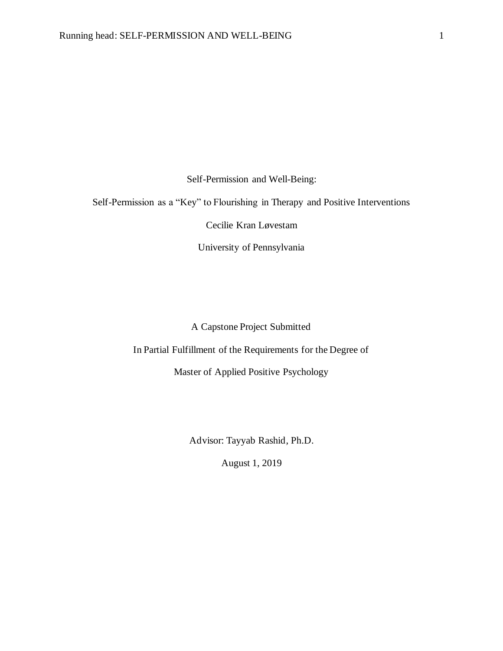Self-Permission and Well-Being:

Self-Permission as a "Key" to Flourishing in Therapy and Positive Interventions

Cecilie Kran Løvestam

University of Pennsylvania

### A Capstone Project Submitted

In Partial Fulfillment of the Requirements for the Degree of

Master of Applied Positive Psychology

Advisor: Tayyab Rashid, Ph.D.

August 1, 2019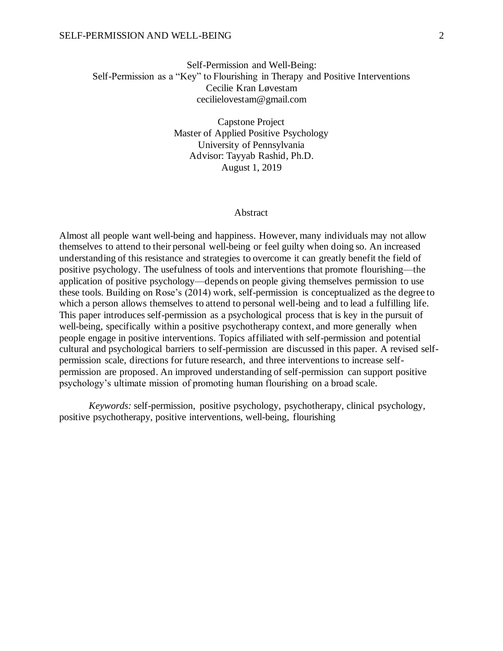#### SELF-PERMISSION AND WELL-BEING 2

### Self-Permission and Well-Being: Self-Permission as a "Key" to Flourishing in Therapy and Positive Interventions Cecilie Kran Løvestam cecilielovestam@gmail.com

Capstone Project Master of Applied Positive Psychology University of Pennsylvania Advisor: Tayyab Rashid, Ph.D. August 1, 2019

#### Abstract

Almost all people want well-being and happiness. However, many individuals may not allow themselves to attend to their personal well-being or feel guilty when doing so. An increased understanding of this resistance and strategies to overcome it can greatly benefit the field of positive psychology. The usefulness of tools and interventions that promote flourishing—the application of positive psychology—depends on people giving themselves permission to use these tools. Building on Rose's (2014) work, self-permission is conceptualized as the degree to which a person allows themselves to attend to personal well-being and to lead a fulfilling life. This paper introduces self-permission as a psychological process that is key in the pursuit of well-being, specifically within a positive psychotherapy context, and more generally when people engage in positive interventions. Topics affiliated with self-permission and potential cultural and psychological barriers to self-permission are discussed in this paper. A revised selfpermission scale, directions for future research, and three interventions to increase selfpermission are proposed. An improved understanding of self-permission can support positive psychology's ultimate mission of promoting human flourishing on a broad scale.

*Keywords:* self-permission, positive psychology, psychotherapy, clinical psychology, positive psychotherapy, positive interventions, well-being, flourishing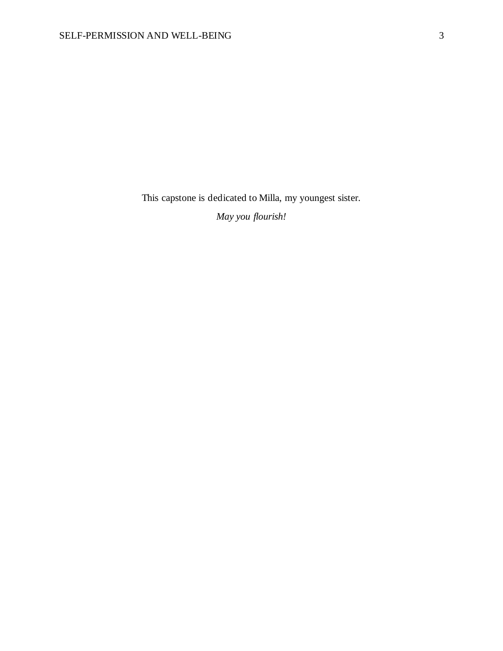This capstone is dedicated to Milla, my youngest sister.

*May you flourish!*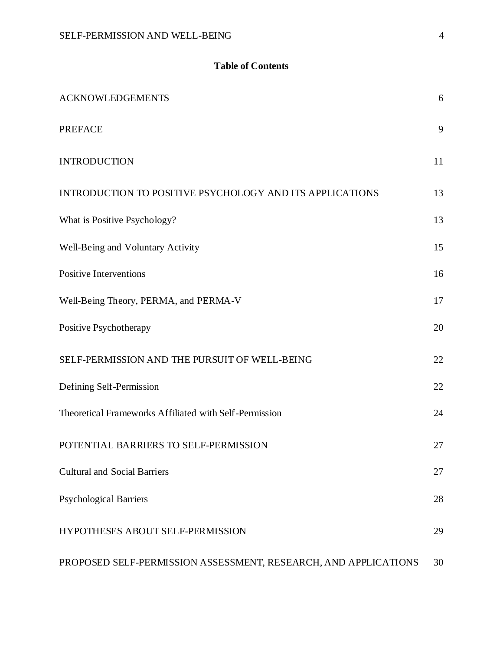## **Table of Contents**

| <b>ACKNOWLEDGEMENTS</b>                                         | 6  |
|-----------------------------------------------------------------|----|
| <b>PREFACE</b>                                                  | 9  |
| <b>INTRODUCTION</b>                                             | 11 |
| <b>INTRODUCTION TO POSITIVE PSYCHOLOGY AND ITS APPLICATIONS</b> | 13 |
| What is Positive Psychology?                                    | 13 |
| Well-Being and Voluntary Activity                               | 15 |
| <b>Positive Interventions</b>                                   | 16 |
| Well-Being Theory, PERMA, and PERMA-V                           | 17 |
| Positive Psychotherapy                                          | 20 |
| SELF-PERMISSION AND THE PURSUIT OF WELL-BEING                   | 22 |
| Defining Self-Permission                                        | 22 |
| Theoretical Frameworks Affiliated with Self-Permission          | 24 |
| POTENTIAL BARRIERS TO SELF-PERMISSION                           | 27 |
| <b>Cultural and Social Barriers</b>                             | 27 |
| <b>Psychological Barriers</b>                                   | 28 |
| HYPOTHESES ABOUT SELF-PERMISSION                                | 29 |
| PROPOSED SELF-PERMISSION ASSESSMENT, RESEARCH, AND APPLICATIONS | 30 |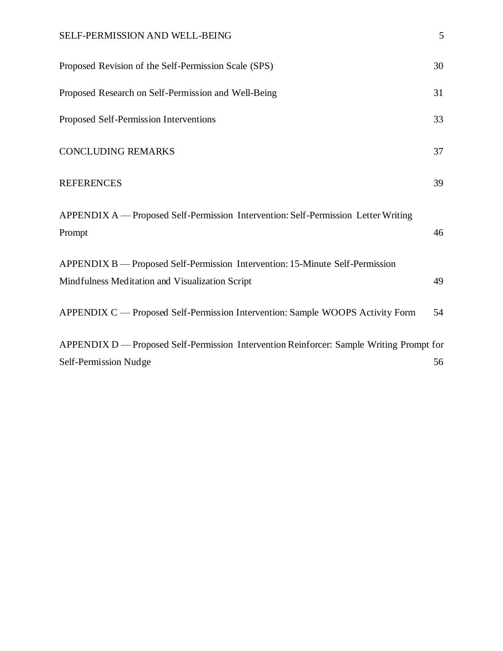## SELF-PERMISSION AND WELL-BEING 5

| Proposed Revision of the Self-Permission Scale (SPS)                                         | 30 |
|----------------------------------------------------------------------------------------------|----|
| Proposed Research on Self-Permission and Well-Being                                          | 31 |
| Proposed Self-Permission Interventions                                                       | 33 |
| <b>CONCLUDING REMARKS</b>                                                                    | 37 |
| <b>REFERENCES</b>                                                                            | 39 |
| APPENDIX A — Proposed Self-Permission Intervention: Self-Permission Letter Writing<br>Prompt | 46 |
| APPENDIX B — Proposed Self-Permission Intervention: 15-Minute Self-Permission                |    |
| Mindfulness Meditation and Visualization Script                                              | 49 |
| APPENDIX C — Proposed Self-Permission Intervention: Sample WOOPS Activity Form               | 54 |
| APPENDIX D — Proposed Self-Permission Intervention Reinforcer: Sample Writing Prompt for     |    |
| Self-Permission Nudge                                                                        | 56 |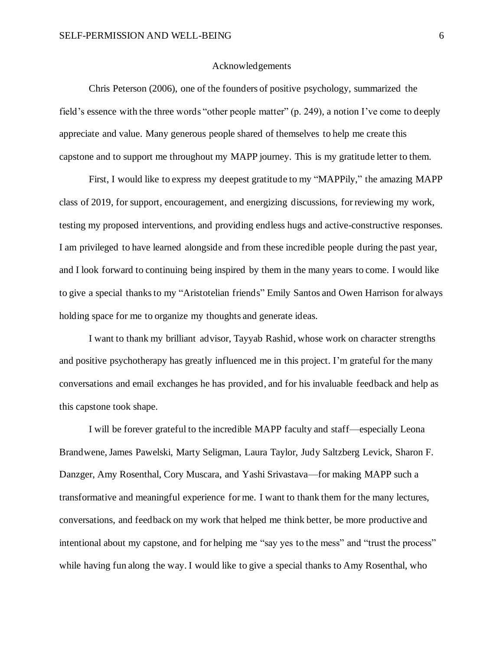#### Acknowledgements

<span id="page-7-0"></span>Chris Peterson (2006), one of the founders of positive psychology, summarized the field's essence with the three words "other people matter" (p. 249), a notion I've come to deeply appreciate and value. Many generous people shared of themselves to help me create this capstone and to support me throughout my MAPP journey. This is my gratitude letter to them.

First, I would like to express my deepest gratitude to my "MAPPily," the amazing MAPP class of 2019, for support, encouragement, and energizing discussions, for reviewing my work, testing my proposed interventions, and providing endless hugs and active-constructive responses. I am privileged to have learned alongside and from these incredible people during the past year, and I look forward to continuing being inspired by them in the many years to come. I would like to give a special thanks to my "Aristotelian friends" Emily Santos and Owen Harrison for always holding space for me to organize my thoughts and generate ideas.

I want to thank my brilliant advisor, Tayyab Rashid, whose work on character strengths and positive psychotherapy has greatly influenced me in this project. I'm grateful for the many conversations and email exchanges he has provided, and for his invaluable feedback and help as this capstone took shape.

I will be forever grateful to the incredible MAPP faculty and staff—especially Leona Brandwene, James Pawelski, Marty Seligman, Laura Taylor, Judy Saltzberg Levick, Sharon F. Danzger, Amy Rosenthal, Cory Muscara, and Yashi Srivastava—for making MAPP such a transformative and meaningful experience for me. I want to thank them for the many lectures, conversations, and feedback on my work that helped me think better, be more productive and intentional about my capstone, and for helping me "say yes to the mess" and "trust the process" while having fun along the way. I would like to give a special thanks to Amy Rosenthal, who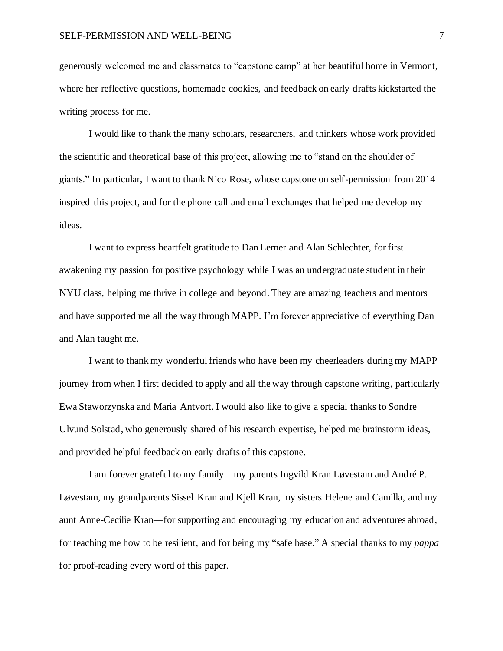generously welcomed me and classmates to "capstone camp" at her beautiful home in Vermont, where her reflective questions, homemade cookies, and feedback on early drafts kickstarted the writing process for me.

I would like to thank the many scholars, researchers, and thinkers whose work provided the scientific and theoretical base of this project, allowing me to "stand on the shoulder of giants." In particular, I want to thank Nico Rose, whose capstone on self-permission from 2014 inspired this project, and for the phone call and email exchanges that helped me develop my ideas.

I want to express heartfelt gratitude to Dan Lerner and Alan Schlechter, for first awakening my passion for positive psychology while I was an undergraduate student in their NYU class, helping me thrive in college and beyond. They are amazing teachers and mentors and have supported me all the way through MAPP. I'm forever appreciative of everything Dan and Alan taught me.

I want to thank my wonderful friends who have been my cheerleaders during my MAPP journey from when I first decided to apply and all the way through capstone writing, particularly Ewa Staworzynska and Maria Antvort. I would also like to give a special thanks to Sondre Ulvund Solstad, who generously shared of his research expertise, helped me brainstorm ideas, and provided helpful feedback on early drafts of this capstone.

I am forever grateful to my family—my parents Ingvild Kran Løvestam and André P. Løvestam, my grandparents Sissel Kran and Kjell Kran, my sisters Helene and Camilla, and my aunt Anne-Cecilie Kran—for supporting and encouraging my education and adventures abroad, for teaching me how to be resilient, and for being my "safe base." A special thanks to my *pappa* for proof-reading every word of this paper.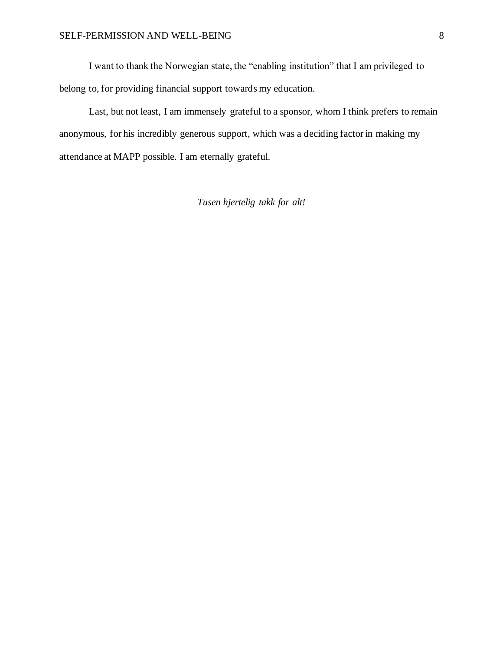I want to thank the Norwegian state, the "enabling institution" that I am privileged to belong to, for providing financial support towards my education.

Last, but not least, I am immensely grateful to a sponsor, whom I think prefers to remain anonymous, for his incredibly generous support, which was a deciding factor in making my attendance at MAPP possible. I am eternally grateful.

*Tusen hjertelig takk for alt!*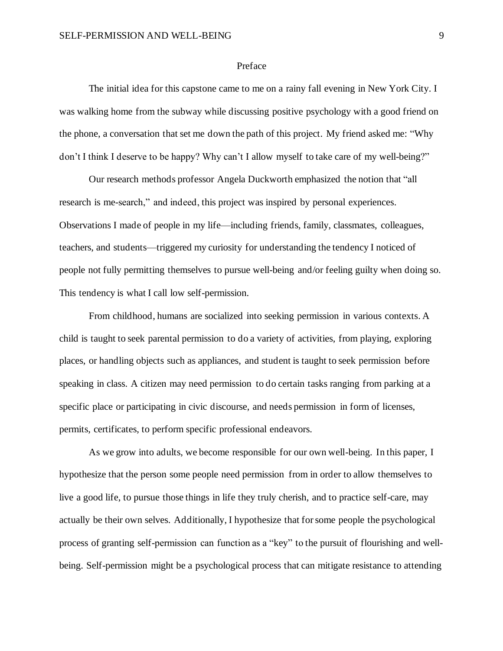#### Preface

<span id="page-10-0"></span>The initial idea for this capstone came to me on a rainy fall evening in New York City. I was walking home from the subway while discussing positive psychology with a good friend on the phone, a conversation that set me down the path of this project. My friend asked me: "Why don't I think I deserve to be happy? Why can't I allow myself to take care of my well-being?"

Our research methods professor Angela Duckworth emphasized the notion that "all research is me-search," and indeed, this project was inspired by personal experiences. Observations I made of people in my life—including friends, family, classmates, colleagues, teachers, and students—triggered my curiosity for understanding the tendency I noticed of people not fully permitting themselves to pursue well-being and/or feeling guilty when doing so. This tendency is what I call low self-permission.

From childhood, humans are socialized into seeking permission in various contexts. A child is taught to seek parental permission to do a variety of activities, from playing, exploring places, or handling objects such as appliances, and student is taught to seek permission before speaking in class. A citizen may need permission to do certain tasks ranging from parking at a specific place or participating in civic discourse, and needs permission in form of licenses, permits, certificates, to perform specific professional endeavors.

As we grow into adults, we become responsible for our own well-being. In this paper, I hypothesize that the person some people need permission from in order to allow themselves to live a good life, to pursue those things in life they truly cherish, and to practice self-care, may actually be their own selves. Additionally, I hypothesize that for some people the psychological process of granting self-permission can function as a "key" to the pursuit of flourishing and wellbeing. Self-permission might be a psychological process that can mitigate resistance to attending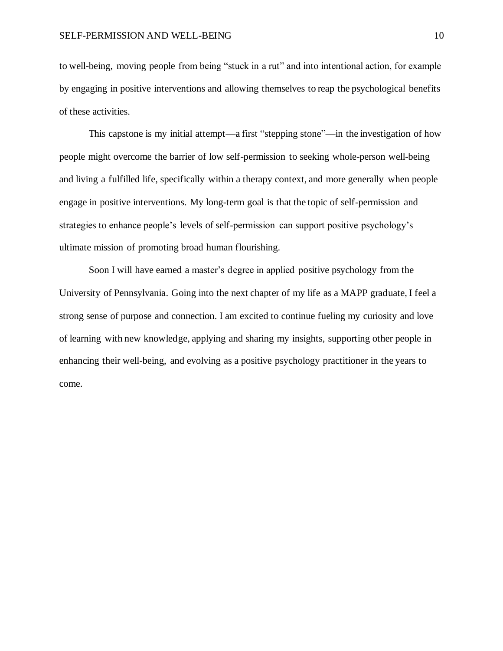to well-being, moving people from being "stuck in a rut" and into intentional action, for example by engaging in positive interventions and allowing themselves to reap the psychological benefits of these activities.

This capstone is my initial attempt—a first "stepping stone"—in the investigation of how people might overcome the barrier of low self-permission to seeking whole-person well-being and living a fulfilled life, specifically within a therapy context, and more generally when people engage in positive interventions. My long-term goal is that the topic of self-permission and strategies to enhance people's levels of self-permission can support positive psychology's ultimate mission of promoting broad human flourishing.

Soon I will have earned a master's degree in applied positive psychology from the University of Pennsylvania. Going into the next chapter of my life as a MAPP graduate, I feel a strong sense of purpose and connection. I am excited to continue fueling my curiosity and love of learning with new knowledge, applying and sharing my insights, supporting other people in enhancing their well-being, and evolving as a positive psychology practitioner in the years to come.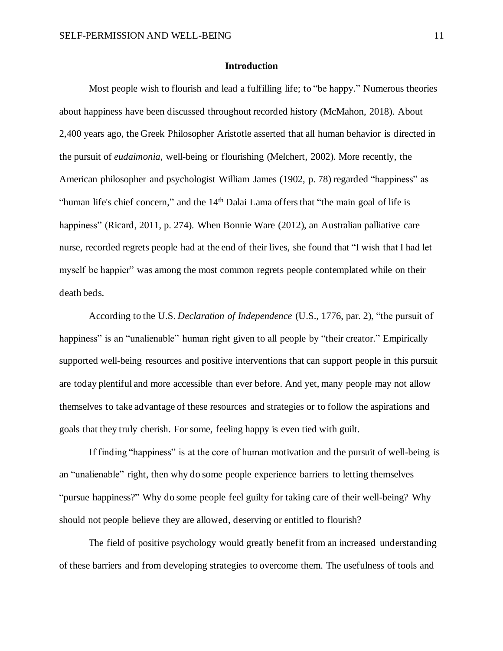#### **Introduction**

<span id="page-12-0"></span>Most people wish to flourish and lead a fulfilling life; to "be happy." Numerous theories about happiness have been discussed throughout recorded history (McMahon, 2018). About 2,400 years ago, the Greek Philosopher Aristotle asserted that all human behavior is directed in the pursuit of *eudaimonia*, well-being or flourishing (Melchert, 2002). More recently, the American philosopher and psychologist William James (1902, p. 78) regarded "happiness" as "human life's chief concern," and the 14<sup>th</sup> Dalai Lama offers that "the main goal of life is happiness" (Ricard, 2011, p. 274). When Bonnie Ware (2012), an Australian palliative care nurse, recorded regrets people had at the end of their lives, she found that "I wish that I had let myself be happier" was among the most common regrets people contemplated while on their death beds.

According to the U.S. *Declaration of Independence* (U.S., 1776, par. 2), "the pursuit of happiness" is an "unalienable" human right given to all people by "their creator." Empirically supported well-being resources and positive interventions that can support people in this pursuit are today plentiful and more accessible than ever before. And yet, many people may not allow themselves to take advantage of these resources and strategies or to follow the aspirations and goals that they truly cherish. For some, feeling happy is even tied with guilt.

If finding "happiness" is at the core of human motivation and the pursuit of well-being is an "unalienable" right, then why do some people experience barriers to letting themselves "pursue happiness?" Why do some people feel guilty for taking care of their well-being? Why should not people believe they are allowed, deserving or entitled to flourish?

The field of positive psychology would greatly benefit from an increased understanding of these barriers and from developing strategies to overcome them. The usefulness of tools and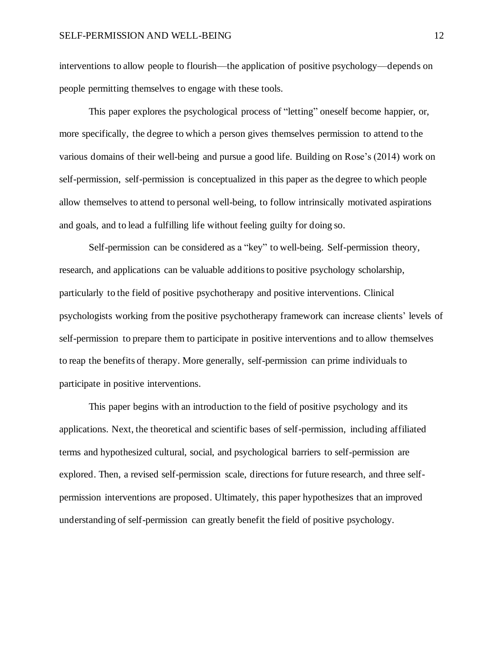interventions to allow people to flourish—the application of positive psychology—depends on people permitting themselves to engage with these tools.

This paper explores the psychological process of "letting" oneself become happier, or, more specifically, the degree to which a person gives themselves permission to attend to the various domains of their well-being and pursue a good life. Building on Rose's (2014) work on self-permission, self-permission is conceptualized in this paper as the degree to which people allow themselves to attend to personal well-being, to follow intrinsically motivated aspirations and goals, and to lead a fulfilling life without feeling guilty for doing so.

Self-permission can be considered as a "key" to well-being. Self-permission theory, research, and applications can be valuable additionsto positive psychology scholarship, particularly to the field of positive psychotherapy and positive interventions. Clinical psychologists working from the positive psychotherapy framework can increase clients' levels of self-permission to prepare them to participate in positive interventions and to allow themselves to reap the benefits of therapy. More generally, self-permission can prime individuals to participate in positive interventions.

<span id="page-13-0"></span>This paper begins with an introduction to the field of positive psychology and its applications. Next, the theoretical and scientific bases of self-permission, including affiliated terms and hypothesized cultural, social, and psychological barriers to self-permission are explored. Then, a revised self-permission scale, directions for future research, and three selfpermission interventions are proposed. Ultimately, this paper hypothesizes that an improved understanding of self-permission can greatly benefit the field of positive psychology.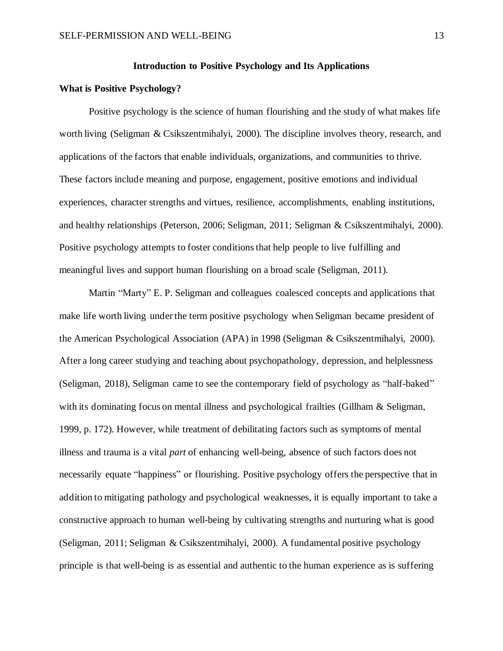#### **Introduction to Positive Psychology and Its Applications**

#### <span id="page-14-0"></span>**What is Positive Psychology?**

Positive psychology is the science of human flourishing and the study of what makes life worth living (Seligman & Csikszentmihalyi, 2000). The discipline involves theory, research, and applications of the factors that enable individuals, organizations, and communities to thrive. These factors include meaning and purpose, engagement, positive emotions and individual experiences, character strengths and virtues, resilience, accomplishments, enabling institutions, and healthy relationships (Peterson, 2006; Seligman, 2011; Seligman & Csikszentmihalyi, 2000). Positive psychology attempts to foster conditions that help people to live fulfilling and meaningful lives and support human flourishing on a broad scale (Seligman, 2011).

Martin "Marty" E. P. Seligman and colleagues coalesced concepts and applications that make life worth living under the term positive psychology when Seligman became president of the American Psychological Association (APA) in 1998 (Seligman & Csikszentmihalyi, 2000). After a long career studying and teaching about psychopathology, depression, and helplessness (Seligman, 2018), Seligman came to see the contemporary field of psychology as "half-baked" with its dominating focus on mental illness and psychological frailties (Gillham & Seligman, 1999, p. 172). However, while treatment of debilitating factors such as symptoms of mental illness and trauma is a vital *part* of enhancing well-being, absence of such factors does not necessarily equate "happiness" or flourishing. Positive psychology offers the perspective that in addition to mitigating pathology and psychological weaknesses, it is equally important to take a constructive approach to human well-being by cultivating strengths and nurturing what is good (Seligman, 2011; Seligman & Csikszentmihalyi, 2000). A fundamental positive psychology principle is that well-being is as essential and authentic to the human experience as is suffering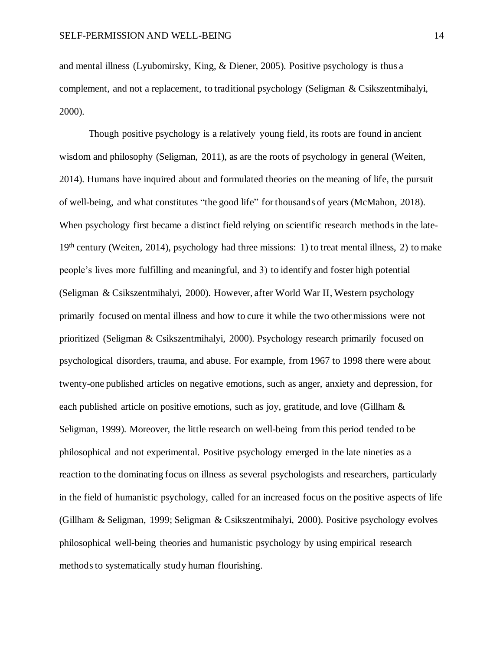and mental illness (Lyubomirsky, King, & Diener, 2005). Positive psychology is thus a complement, and not a replacement, to traditional psychology (Seligman & Csikszentmihalyi, 2000).

Though positive psychology is a relatively young field, its roots are found in ancient wisdom and philosophy (Seligman, 2011), as are the roots of psychology in general (Weiten, 2014). Humans have inquired about and formulated theories on the meaning of life, the pursuit of well-being, and what constitutes "the good life" for thousands of years (McMahon, 2018). When psychology first became a distinct field relying on scientific research methods in the late-19<sup>th</sup> century (Weiten, 2014), psychology had three missions: 1) to treat mental illness, 2) to make people's lives more fulfilling and meaningful, and 3) to identify and foster high potential (Seligman & Csikszentmihalyi, 2000). However, after World War II, Western psychology primarily focused on mental illness and how to cure it while the two other missions were not prioritized (Seligman & Csikszentmihalyi, 2000). Psychology research primarily focused on psychological disorders, trauma, and abuse. For example, from 1967 to 1998 there were about twenty-one published articles on negative emotions, such as anger, anxiety and depression, for each published article on positive emotions, such as joy, gratitude, and love (Gillham & Seligman, 1999). Moreover, the little research on well-being from this period tended to be philosophical and not experimental. Positive psychology emerged in the late nineties as a reaction to the dominating focus on illness as several psychologists and researchers, particularly in the field of humanistic psychology, called for an increased focus on the positive aspects of life (Gillham & Seligman, 1999; Seligman & Csikszentmihalyi, 2000). Positive psychology evolves philosophical well-being theories and humanistic psychology by using empirical research methods to systematically study human flourishing.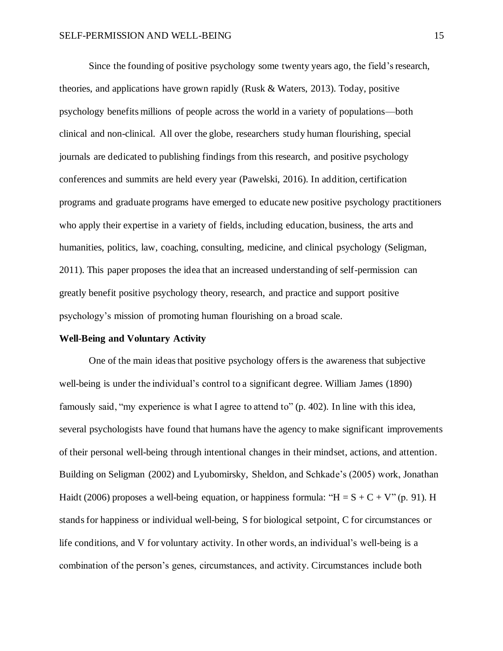Since the founding of positive psychology some twenty years ago, the field's research, theories, and applications have grown rapidly (Rusk  $\&$  Waters, 2013). Today, positive psychology benefits millions of people across the world in a variety of populations—both clinical and non-clinical. All over the globe, researchers study human flourishing, special journals are dedicated to publishing findings from this research, and positive psychology conferences and summits are held every year (Pawelski, 2016). In addition, certification programs and graduate programs have emerged to educate new positive psychology practitioners who apply their expertise in a variety of fields, including education, business, the arts and humanities, politics, law, coaching, consulting, medicine, and clinical psychology (Seligman, 2011). This paper proposes the idea that an increased understanding of self-permission can greatly benefit positive psychology theory, research, and practice and support positive psychology's mission of promoting human flourishing on a broad scale.

#### <span id="page-16-0"></span>**Well-Being and Voluntary Activity**

One of the main ideas that positive psychology offers is the awareness that subjective well-being is under the individual's control to a significant degree. William James (1890) famously said, "my experience is what I agree to attend to" (p. 402). In line with this idea, several psychologists have found that humans have the agency to make significant improvements of their personal well-being through intentional changes in their mindset, actions, and attention. Building on Seligman (2002) and Lyubomirsky, Sheldon, and Schkade's (2005) work, Jonathan Haidt (2006) proposes a well-being equation, or happiness formula: " $H = S + C + V$ " (p. 91). H stands for happiness or individual well-being, S for biological setpoint, C for circumstances or life conditions, and V for voluntary activity. In other words, an individual's well-being is a combination of the person's genes, circumstances, and activity. Circumstances include both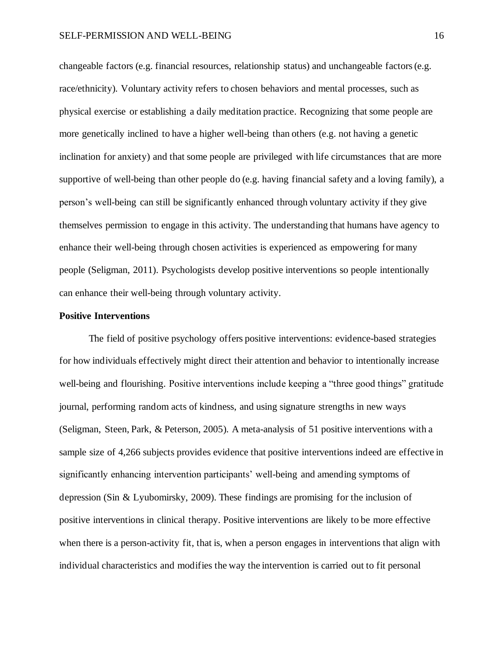changeable factors (e.g. financial resources, relationship status) and unchangeable factors (e.g. race/ethnicity). Voluntary activity refers to chosen behaviors and mental processes, such as physical exercise or establishing a daily meditation practice. Recognizing that some people are more genetically inclined to have a higher well-being than others (e.g. not having a genetic inclination for anxiety) and that some people are privileged with life circumstances that are more supportive of well-being than other people do (e.g. having financial safety and a loving family), a person's well-being can still be significantly enhanced through voluntary activity if they give themselves permission to engage in this activity. The understanding that humans have agency to enhance their well-being through chosen activities is experienced as empowering for many people (Seligman, 2011). Psychologists develop positive interventions so people intentionally can enhance their well-being through voluntary activity.

#### <span id="page-17-0"></span>**Positive Interventions**

The field of positive psychology offers positive interventions: evidence-based strategies for how individuals effectively might direct their attention and behavior to intentionally increase well-being and flourishing. Positive interventions include keeping a "three good things" gratitude journal, performing random acts of kindness, and using signature strengths in new ways (Seligman, Steen, Park, & Peterson, 2005). A meta-analysis of 51 positive interventions with a sample size of 4,266 subjects provides evidence that positive interventions indeed are effective in significantly enhancing intervention participants' well-being and amending symptoms of depression (Sin & Lyubomirsky, 2009). These findings are promising for the inclusion of positive interventions in clinical therapy. Positive interventions are likely to be more effective when there is a person-activity fit, that is, when a person engages in interventions that align with individual characteristics and modifies the way the intervention is carried out to fit personal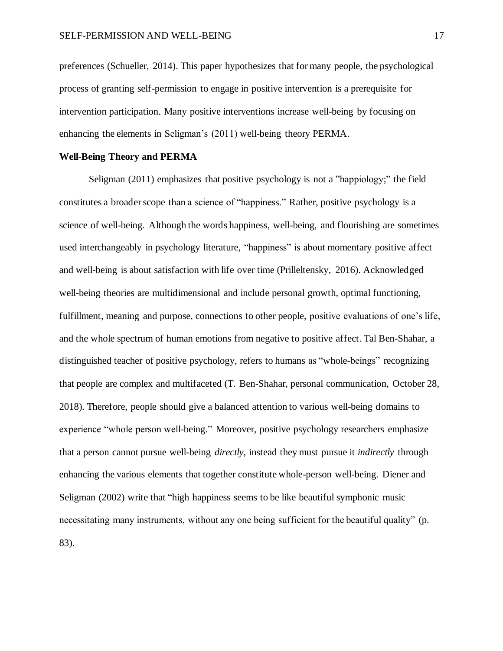preferences (Schueller, 2014). This paper hypothesizes that for many people, the psychological process of granting self-permission to engage in positive intervention is a prerequisite for intervention participation. Many positive interventions increase well-being by focusing on enhancing the elements in Seligman's (2011) well-being theory PERMA.

#### <span id="page-18-0"></span>**Well-Being Theory and PERMA**

Seligman (2011) emphasizes that positive psychology is not a "happiology;" the field constitutes a broader scope than a science of "happiness." Rather, positive psychology is a science of well-being. Although the words happiness, well-being, and flourishing are sometimes used interchangeably in psychology literature, "happiness" is about momentary positive affect and well-being is about satisfaction with life over time (Prilleltensky, 2016). Acknowledged well-being theories are multidimensional and include personal growth, optimal functioning, fulfillment, meaning and purpose, connections to other people, positive evaluations of one's life, and the whole spectrum of human emotions from negative to positive affect. Tal Ben-Shahar, a distinguished teacher of positive psychology, refers to humans as "whole-beings" recognizing that people are complex and multifaceted (T. Ben-Shahar, personal communication, October 28, 2018). Therefore, people should give a balanced attention to various well-being domains to experience "whole person well-being." Moreover, positive psychology researchers emphasize that a person cannot pursue well-being *directly*, instead they must pursue it *indirectly* through enhancing the various elements that together constitute whole-person well-being. Diener and Seligman (2002) write that "high happiness seems to be like beautiful symphonic music necessitating many instruments, without any one being sufficient for the beautiful quality" (p. 83).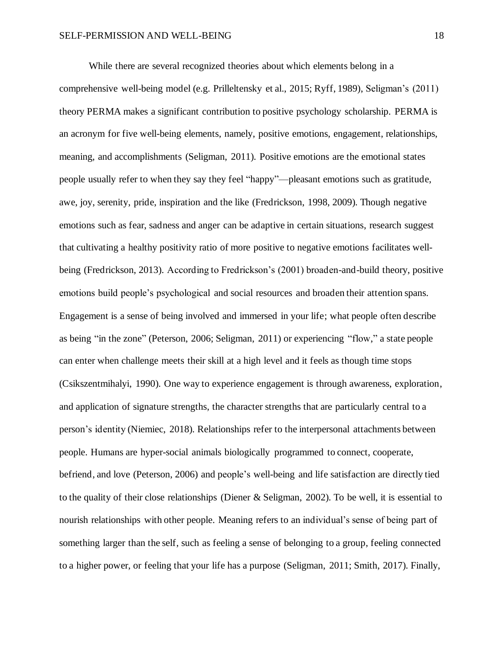While there are several recognized theories about which elements belong in a comprehensive well-being model (e.g. Prilleltensky et al., 2015; Ryff, 1989), Seligman's (2011) theory PERMA makes a significant contribution to positive psychology scholarship. PERMA is an acronym for five well-being elements, namely, positive emotions, engagement, relationships, meaning, and accomplishments (Seligman, 2011). Positive emotions are the emotional states people usually refer to when they say they feel "happy"—pleasant emotions such as gratitude, awe, joy, serenity, pride, inspiration and the like (Fredrickson, 1998, 2009). Though negative emotions such as fear, sadness and anger can be adaptive in certain situations, research suggest that cultivating a healthy positivity ratio of more positive to negative emotions facilitates wellbeing (Fredrickson, 2013). According to Fredrickson's (2001) broaden-and-build theory, positive emotions build people's psychological and social resources and broaden their attention spans. Engagement is a sense of being involved and immersed in your life; what people often describe as being "in the zone" (Peterson, 2006; Seligman, 2011) or experiencing "flow," a state people can enter when challenge meets their skill at a high level and it feels as though time stops (Csikszentmihalyi, 1990). One way to experience engagement is through awareness, exploration, and application of signature strengths, the character strengths that are particularly central to a person's identity (Niemiec, 2018). Relationships refer to the interpersonal attachments between people. Humans are hyper-social animals biologically programmed to connect, cooperate, befriend, and love (Peterson, 2006) and people's well-being and life satisfaction are directly tied to the quality of their close relationships (Diener & Seligman, 2002). To be well, it is essential to nourish relationships with other people. Meaning refers to an individual's sense of being part of something larger than the self, such as feeling a sense of belonging to a group, feeling connected to a higher power, or feeling that your life has a purpose (Seligman, 2011; Smith, 2017). Finally,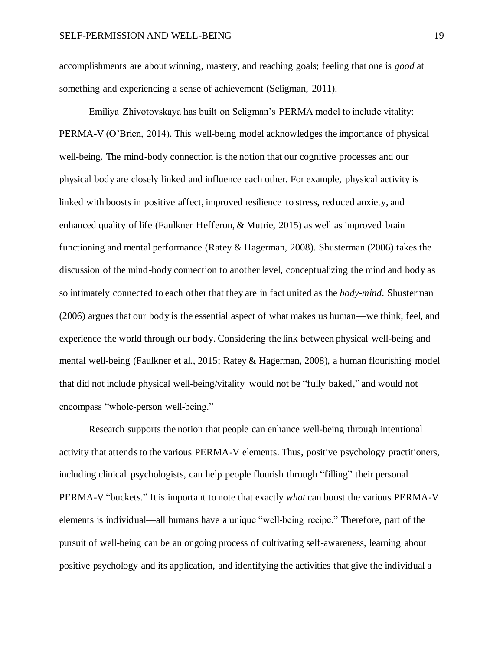accomplishments are about winning, mastery, and reaching goals; feeling that one is *good* at something and experiencing a sense of achievement (Seligman, 2011).

Emiliya Zhivotovskaya has built on Seligman's PERMA model to include vitality: PERMA-V (O'Brien, 2014). This well-being model acknowledges the importance of physical well-being. The mind-body connection is the notion that our cognitive processes and our physical body are closely linked and influence each other. For example, physical activity is linked with boosts in positive affect, improved resilience to stress, reduced anxiety, and enhanced quality of life (Faulkner Hefferon, & Mutrie, 2015) as well as improved brain functioning and mental performance (Ratey & Hagerman, 2008). Shusterman (2006) takes the discussion of the mind-body connection to another level, conceptualizing the mind and body as so intimately connected to each other that they are in fact united as the *body-mind*. Shusterman (2006) argues that our body is the essential aspect of what makes us human—we think, feel, and experience the world through our body. Considering the link between physical well-being and mental well-being (Faulkner et al., 2015; Ratey & Hagerman, 2008), a human flourishing model that did not include physical well-being/vitality would not be "fully baked," and would not encompass "whole-person well-being."

Research supports the notion that people can enhance well-being through intentional activity that attends to the various PERMA-V elements. Thus, positive psychology practitioners, including clinical psychologists, can help people flourish through "filling" their personal PERMA-V "buckets." It is important to note that exactly *what* can boost the various PERMA-V elements is individual—all humans have a unique "well-being recipe." Therefore, part of the pursuit of well-being can be an ongoing process of cultivating self-awareness, learning about positive psychology and its application, and identifying the activities that give the individual a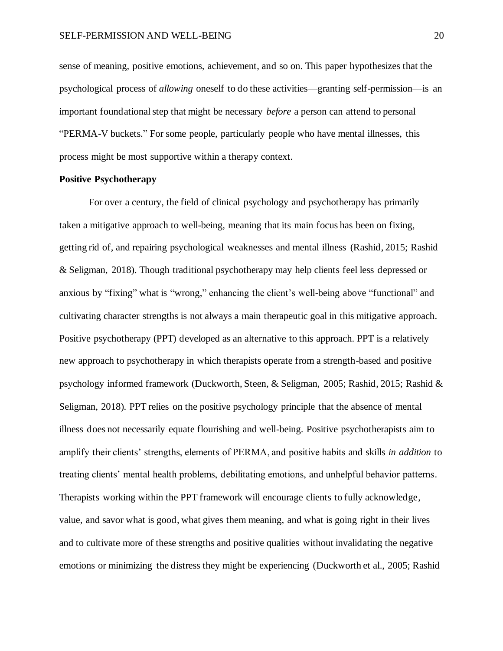sense of meaning, positive emotions, achievement, and so on. This paper hypothesizes that the psychological process of *allowing* oneself to do these activities—granting self-permission—is an important foundationalstep that might be necessary *before* a person can attend to personal "PERMA-V buckets." For some people, particularly people who have mental illnesses, this process might be most supportive within a therapy context.

#### <span id="page-21-0"></span>**Positive Psychotherapy**

For over a century, the field of clinical psychology and psychotherapy has primarily taken a mitigative approach to well-being, meaning that its main focus has been on fixing, getting rid of, and repairing psychological weaknesses and mental illness (Rashid, 2015; Rashid & Seligman, 2018). Though traditional psychotherapy may help clients feel less depressed or anxious by "fixing" what is "wrong," enhancing the client's well-being above "functional" and cultivating character strengths is not always a main therapeutic goal in this mitigative approach. Positive psychotherapy (PPT) developed as an alternative to this approach. PPT is a relatively new approach to psychotherapy in which therapists operate from a strength-based and positive psychology informed framework (Duckworth, Steen, & Seligman, 2005; Rashid, 2015; Rashid & Seligman, 2018). PPT relies on the positive psychology principle that the absence of mental illness does not necessarily equate flourishing and well-being. Positive psychotherapists aim to amplify their clients' strengths, elements of PERMA, and positive habits and skills *in addition* to treating clients' mental health problems, debilitating emotions, and unhelpful behavior patterns. Therapists working within the PPT framework will encourage clients to fully acknowledge, value, and savor what is good, what gives them meaning, and what is going right in their lives and to cultivate more of these strengths and positive qualities without invalidating the negative emotions or minimizing the distress they might be experiencing (Duckworth et al., 2005; Rashid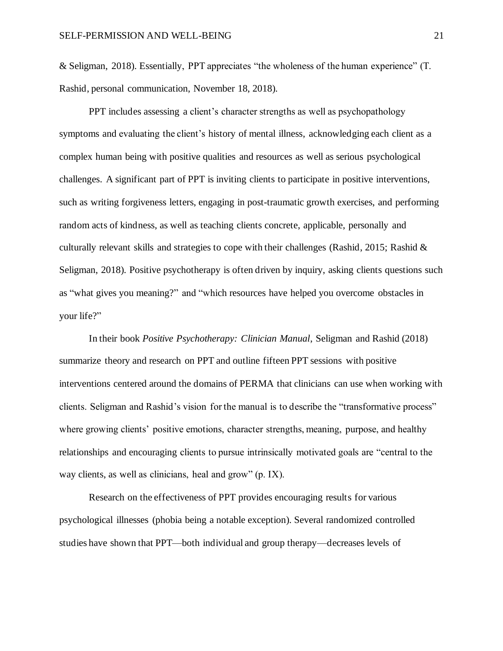& Seligman, 2018). Essentially, PPT appreciates "the wholeness of the human experience" (T. Rashid, personal communication, November 18, 2018).

PPT includes assessing a client's character strengths as well as psychopathology symptoms and evaluating the client's history of mental illness, acknowledging each client as a complex human being with positive qualities and resources as well as serious psychological challenges. A significant part of PPT is inviting clients to participate in positive interventions, such as writing forgiveness letters, engaging in post-traumatic growth exercises, and performing random acts of kindness, as well as teaching clients concrete, applicable, personally and culturally relevant skills and strategies to cope with their challenges (Rashid, 2015; Rashid & Seligman, 2018). Positive psychotherapy is often driven by inquiry, asking clients questions such as "what gives you meaning?" and "which resources have helped you overcome obstacles in your life?"

In their book *Positive Psychotherapy: Clinician Manual*, Seligman and Rashid (2018) summarize theory and research on PPT and outline fifteen PPT sessions with positive interventions centered around the domains of PERMA that clinicians can use when working with clients. Seligman and Rashid's vision for the manual is to describe the "transformative process" where growing clients' positive emotions, character strengths, meaning, purpose, and healthy relationships and encouraging clients to pursue intrinsically motivated goals are "central to the way clients, as well as clinicians, heal and grow" (p. IX).

Research on the effectiveness of PPT provides encouraging results for various psychological illnesses (phobia being a notable exception). Several randomized controlled studies have shown that PPT—both individual and group therapy—decreases levels of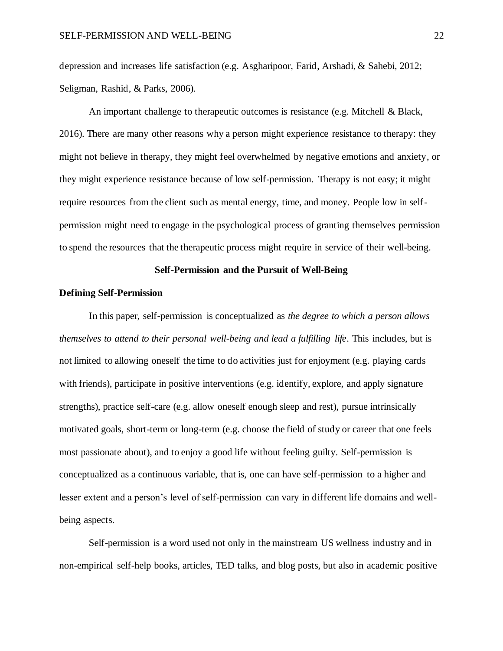depression and increases life satisfaction (e.g. Asgharipoor, Farid, Arshadi, & Sahebi, 2012; Seligman, Rashid, & Parks, 2006).

An important challenge to therapeutic outcomes is resistance (e.g. Mitchell & Black, 2016). There are many other reasons why a person might experience resistance to therapy: they might not believe in therapy, they might feel overwhelmed by negative emotions and anxiety, or they might experience resistance because of low self-permission. Therapy is not easy; it might require resources from the client such as mental energy, time, and money. People low in selfpermission might need to engage in the psychological process of granting themselves permission to spend the resources that the therapeutic process might require in service of their well-being.

#### **Self-Permission and the Pursuit of Well-Being**

#### <span id="page-23-1"></span><span id="page-23-0"></span>**Defining Self-Permission**

In this paper, self-permission is conceptualized as *the degree to which a person allows themselves to attend to their personal well-being and lead a fulfilling life*. This includes, but is not limited to allowing oneself the time to do activities just for enjoyment (e.g. playing cards with friends), participate in positive interventions (e.g. identify, explore, and apply signature strengths), practice self-care (e.g. allow oneself enough sleep and rest), pursue intrinsically motivated goals, short-term or long-term (e.g. choose the field of study or career that one feels most passionate about), and to enjoy a good life without feeling guilty. Self-permission is conceptualized as a continuous variable, that is, one can have self-permission to a higher and lesser extent and a person's level of self-permission can vary in different life domains and wellbeing aspects.

Self-permission is a word used not only in the mainstream US wellness industry and in non-empirical self-help books, articles, TED talks, and blog posts, but also in academic positive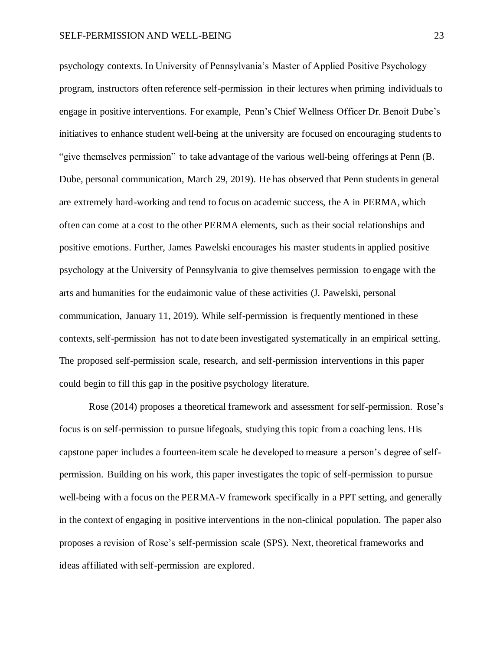psychology contexts. In University of Pennsylvania's Master of Applied Positive Psychology program, instructors often reference self-permission in their lectures when priming individuals to engage in positive interventions. For example, Penn's Chief Wellness Officer Dr. Benoit Dube's initiatives to enhance student well-being at the university are focused on encouraging students to "give themselves permission" to take advantage of the various well-being offerings at Penn (B. Dube, personal communication, March 29, 2019). He has observed that Penn students in general are extremely hard-working and tend to focus on academic success, the A in PERMA, which often can come at a cost to the other PERMA elements, such as their social relationships and positive emotions. Further, James Pawelski encourages his master students in applied positive psychology at the University of Pennsylvania to give themselves permission to engage with the arts and humanities for the eudaimonic value of these activities (J. Pawelski, personal communication, January 11, 2019). While self-permission is frequently mentioned in these contexts, self-permission has not to date been investigated systematically in an empirical setting. The proposed self-permission scale, research, and self-permission interventions in this paper could begin to fill this gap in the positive psychology literature.

Rose (2014) proposes a theoretical framework and assessment for self-permission. Rose's focus is on self-permission to pursue lifegoals, studying this topic from a coaching lens. His capstone paper includes a fourteen-item scale he developed to measure a person's degree of selfpermission. Building on his work, this paper investigates the topic of self-permission to pursue well-being with a focus on the PERMA-V framework specifically in a PPT setting, and generally in the context of engaging in positive interventions in the non-clinical population. The paper also proposes a revision of Rose's self-permission scale (SPS). Next, theoretical frameworks and ideas affiliated with self-permission are explored.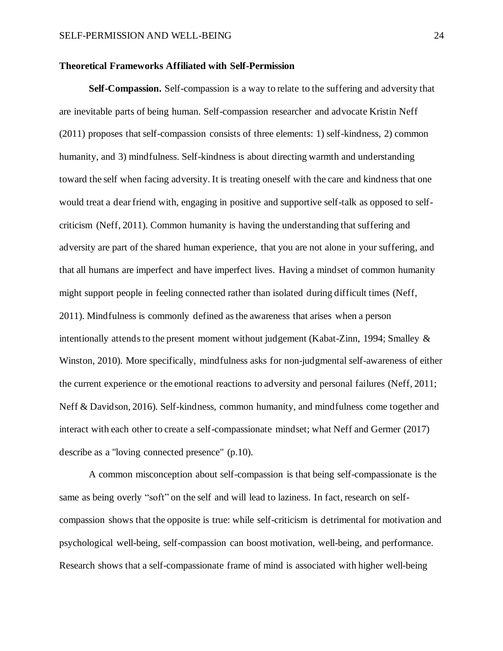#### <span id="page-25-0"></span>**Theoretical Frameworks Affiliated with Self-Permission**

**Self-Compassion.** Self-compassion is a way to relate to the suffering and adversity that are inevitable parts of being human. Self-compassion researcher and advocate Kristin Neff (2011) proposes that self-compassion consists of three elements: 1) self-kindness, 2) common humanity, and 3) mindfulness. Self-kindness is about directing warmth and understanding toward the self when facing adversity. It is treating oneself with the care and kindness that one would treat a dear friend with, engaging in positive and supportive self-talk as opposed to selfcriticism (Neff, 2011). Common humanity is having the understanding that suffering and adversity are part of the shared human experience, that you are not alone in your suffering, and that all humans are imperfect and have imperfect lives. Having a mindset of common humanity might support people in feeling connected rather than isolated during difficult times (Neff, 2011). Mindfulness is commonly defined asthe awareness that arises when a person intentionally attends to the present moment without judgement (Kabat-Zinn, 1994; Smalley & Winston, 2010). More specifically, mindfulness asks for non-judgmental self-awareness of either the current experience or the emotional reactions to adversity and personal failures (Neff, 2011; Neff & Davidson, 2016). Self-kindness, common humanity, and mindfulness come together and interact with each other to create a self-compassionate mindset; what Neff and Germer (2017) describe as a "loving connected presence" (p.10).

A common misconception about self-compassion is that being self-compassionate is the same as being overly "soft" on the self and will lead to laziness. In fact, research on selfcompassion shows that the opposite is true: while self-criticism is detrimental for motivation and psychological well-being, self-compassion can boost motivation, well-being, and performance. Research shows that a self-compassionate frame of mind is associated with higher well-being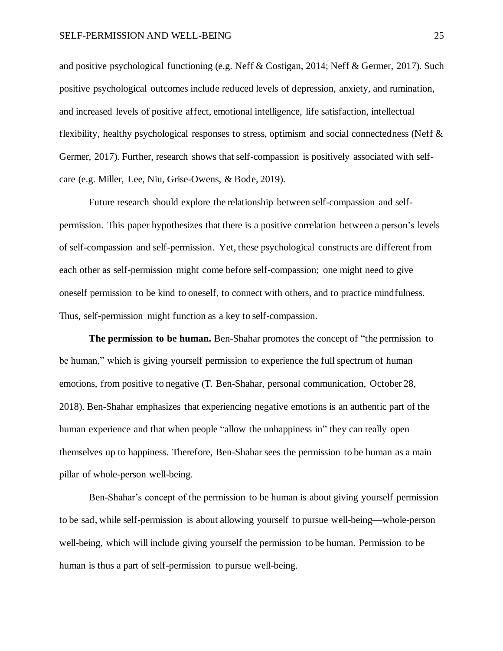and positive psychological functioning (e.g. Neff & Costigan, 2014; Neff & Germer, 2017). Such positive psychological outcomes include reduced levels of depression, anxiety, and rumination, and increased levels of positive affect, emotional intelligence, life satisfaction, intellectual flexibility, healthy psychological responses to stress, optimism and social connectedness (Neff & Germer, 2017). Further, research shows that self-compassion is positively associated with selfcare (e.g. Miller, Lee, Niu, Grise-Owens, & Bode, 2019).

Future research should explore the relationship between self-compassion and selfpermission. This paper hypothesizes that there is a positive correlation between a person's levels of self-compassion and self-permission. Yet, these psychological constructs are different from each other as self-permission might come before self-compassion; one might need to give oneself permission to be kind to oneself, to connect with others, and to practice mindfulness. Thus, self-permission might function as a key to self-compassion.

**The permission to be human.** Ben-Shahar promotes the concept of "the permission to be human," which is giving yourself permission to experience the full spectrum of human emotions, from positive to negative (T. Ben-Shahar, personal communication, October 28, 2018). Ben-Shahar emphasizes that experiencing negative emotions is an authentic part of the human experience and that when people "allow the unhappiness in" they can really open themselves up to happiness. Therefore, Ben-Shahar sees the permission to be human as a main pillar of whole-person well-being.

Ben-Shahar's concept of the permission to be human is about giving yourself permission to be sad, while self-permission is about allowing yourself to pursue well-being—whole-person well-being, which will include giving yourself the permission to be human. Permission to be human is thus a part of self-permission to pursue well-being.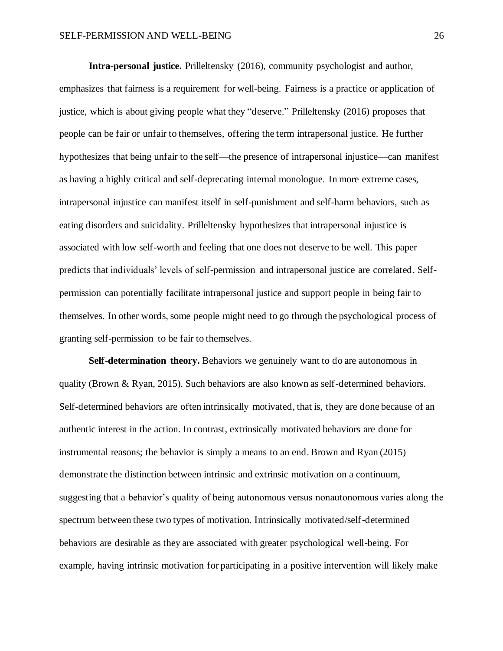**Intra-personal justice.** Prilleltensky (2016), community psychologist and author, emphasizes that fairness is a requirement for well-being. Fairness is a practice or application of justice, which is about giving people what they "deserve." Prilleltensky (2016) proposes that people can be fair or unfair to themselves, offering the term intrapersonal justice. He further hypothesizes that being unfair to the self—the presence of intrapersonal injustice—can manifest as having a highly critical and self-deprecating internal monologue. In more extreme cases, intrapersonal injustice can manifest itself in self-punishment and self-harm behaviors, such as eating disorders and suicidality. Prilleltensky hypothesizes that intrapersonal injustice is associated with low self-worth and feeling that one does not deserve to be well. This paper predicts that individuals' levels of self-permission and intrapersonal justice are correlated. Selfpermission can potentially facilitate intrapersonal justice and support people in being fair to themselves. In other words, some people might need to go through the psychological process of granting self-permission to be fair to themselves.

**Self-determination theory.** Behaviors we genuinely want to do are autonomous in quality (Brown & Ryan, 2015). Such behaviors are also known as self-determined behaviors. Self-determined behaviors are often intrinsically motivated, that is, they are done because of an authentic interest in the action. In contrast, extrinsically motivated behaviors are done for instrumental reasons; the behavior is simply a means to an end. Brown and Ryan (2015) demonstrate the distinction between intrinsic and extrinsic motivation on a continuum, suggesting that a behavior's quality of being autonomous versus nonautonomous varies along the spectrum between these two types of motivation. Intrinsically motivated/self-determined behaviors are desirable as they are associated with greater psychological well-being. For example, having intrinsic motivation for participating in a positive intervention will likely make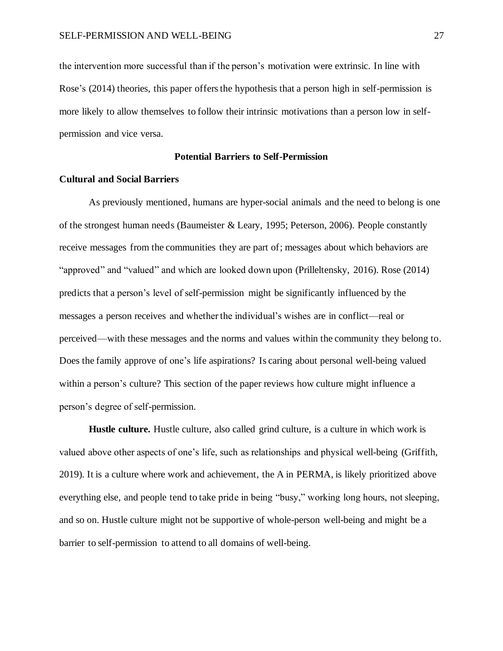the intervention more successful than if the person's motivation were extrinsic. In line with Rose's (2014) theories, this paper offers the hypothesis that a person high in self-permission is more likely to allow themselves to follow their intrinsic motivations than a person low in selfpermission and vice versa.

#### **Potential Barriers to Self-Permission**

#### <span id="page-28-1"></span><span id="page-28-0"></span>**Cultural and Social Barriers**

As previously mentioned, humans are hyper-social animals and the need to belong is one of the strongest human needs (Baumeister & Leary, 1995; Peterson, 2006). People constantly receive messages from the communities they are part of; messages about which behaviors are "approved" and "valued" and which are looked down upon (Prilleltensky, 2016). Rose (2014) predicts that a person's level of self-permission might be significantly influenced by the messages a person receives and whether the individual's wishes are in conflict—real or perceived—with these messages and the norms and values within the community they belong to. Does the family approve of one's life aspirations? Is caring about personal well-being valued within a person's culture? This section of the paper reviews how culture might influence a person's degree of self-permission.

**Hustle culture.** Hustle culture, also called grind culture, is a culture in which work is valued above other aspects of one's life, such as relationships and physical well-being (Griffith, 2019). It is a culture where work and achievement, the A in PERMA, is likely prioritized above everything else, and people tend to take pride in being "busy," working long hours, not sleeping, and so on. Hustle culture might not be supportive of whole-person well-being and might be a barrier to self-permission to attend to all domains of well-being.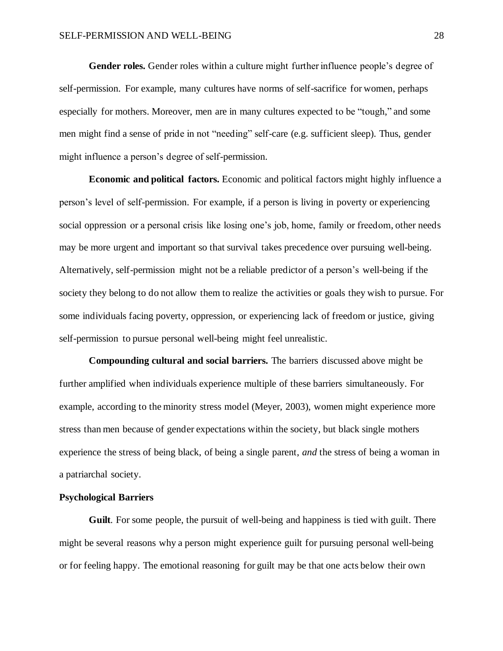**Gender roles.** Gender roles within a culture might further influence people's degree of self-permission. For example, many cultures have norms of self-sacrifice for women, perhaps especially for mothers. Moreover, men are in many cultures expected to be "tough," and some men might find a sense of pride in not "needing" self-care (e.g. sufficient sleep). Thus, gender might influence a person's degree of self-permission.

**Economic and political factors.** Economic and political factors might highly influence a person's level of self-permission. For example, if a person is living in poverty or experiencing social oppression or a personal crisis like losing one's job, home, family or freedom, other needs may be more urgent and important so that survival takes precedence over pursuing well-being. Alternatively, self-permission might not be a reliable predictor of a person's well-being if the society they belong to do not allow them to realize the activities or goals they wish to pursue. For some individuals facing poverty, oppression, or experiencing lack of freedom or justice, giving self-permission to pursue personal well-being might feel unrealistic.

**Compounding cultural and social barriers.** The barriers discussed above might be further amplified when individuals experience multiple of these barriers simultaneously. For example, according to the minority stress model (Meyer, 2003), women might experience more stress than men because of gender expectations within the society, but black single mothers experience the stress of being black, of being a single parent, *and* the stress of being a woman in a patriarchal society.

#### <span id="page-29-0"></span>**Psychological Barriers**

**Guilt**. For some people, the pursuit of well-being and happiness is tied with guilt. There might be several reasons why a person might experience guilt for pursuing personal well-being or for feeling happy. The emotional reasoning for guilt may be that one acts below their own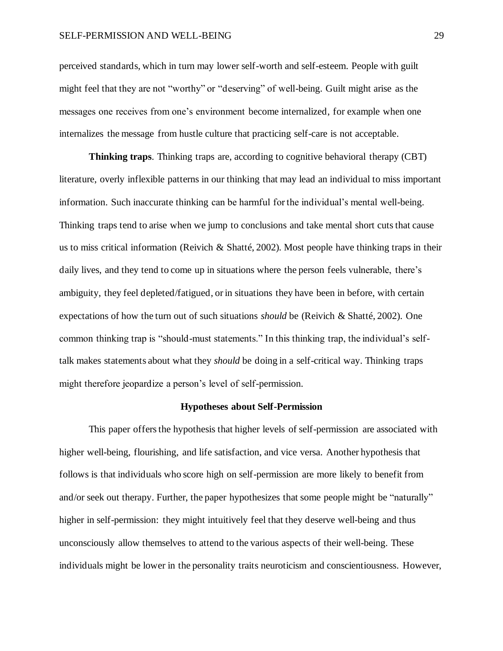perceived standards, which in turn may lower self-worth and self-esteem. People with guilt might feel that they are not "worthy" or "deserving" of well-being. Guilt might arise as the messages one receives from one's environment become internalized, for example when one internalizes the message from hustle culture that practicing self-care is not acceptable.

**Thinking traps**. Thinking traps are, according to cognitive behavioral therapy (CBT) literature, overly inflexible patterns in our thinking that may lead an individual to miss important information. Such inaccurate thinking can be harmful for the individual's mental well-being. Thinking traps tend to arise when we jump to conclusions and take mental short cuts that cause us to miss critical information (Reivich & Shatté, 2002). Most people have thinking traps in their daily lives, and they tend to come up in situations where the person feels vulnerable, there's ambiguity, they feel depleted/fatigued, or in situations they have been in before, with certain expectations of how the turn out of such situations *should* be (Reivich & Shatté, 2002). One common thinking trap is "should-must statements." In this thinking trap, the individual's selftalk makes statements about what they *should* be doing in a self-critical way. Thinking traps might therefore jeopardize a person's level of self-permission.

#### **Hypotheses about Self-Permission**

<span id="page-30-0"></span>This paper offers the hypothesis that higher levels of self-permission are associated with higher well-being, flourishing, and life satisfaction, and vice versa. Another hypothesis that follows is that individuals who score high on self-permission are more likely to benefit from and/or seek out therapy. Further, the paper hypothesizes that some people might be "naturally" higher in self-permission: they might intuitively feel that they deserve well-being and thus unconsciously allow themselves to attend to the various aspects of their well-being. These individuals might be lower in the personality traits neuroticism and conscientiousness. However,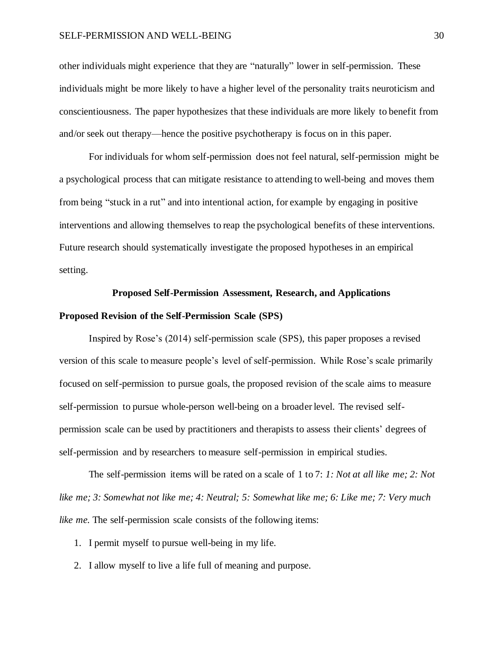#### SELF-PERMISSION AND WELL-BEING 30

other individuals might experience that they are "naturally" lower in self-permission. These individuals might be more likely to have a higher level of the personality traits neuroticism and conscientiousness. The paper hypothesizes that these individuals are more likely to benefit from and/or seek out therapy—hence the positive psychotherapy is focus on in this paper.

For individuals for whom self-permission does not feel natural, self-permission might be a psychological process that can mitigate resistance to attending to well-being and moves them from being "stuck in a rut" and into intentional action, for example by engaging in positive interventions and allowing themselves to reap the psychological benefits of these interventions. Future research should systematically investigate the proposed hypotheses in an empirical setting.

#### **Proposed Self-Permission Assessment, Research, and Applications**

#### <span id="page-31-1"></span><span id="page-31-0"></span>**Proposed Revision of the Self-Permission Scale (SPS)**

Inspired by Rose's (2014) self-permission scale (SPS), this paper proposes a revised version of this scale to measure people's level of self-permission. While Rose's scale primarily focused on self-permission to pursue goals, the proposed revision of the scale aims to measure self-permission to pursue whole-person well-being on a broader level. The revised selfpermission scale can be used by practitioners and therapists to assess their clients' degrees of self-permission and by researchers to measure self-permission in empirical studies.

The self-permission items will be rated on a scale of 1 to 7: *1: Not at all like me; 2: Not like me; 3: Somewhat not like me; 4: Neutral; 5: Somewhat like me; 6: Like me; 7: Very much like me.* The self-permission scale consists of the following items:

- 1. I permit myself to pursue well-being in my life.
- 2. I allow myself to live a life full of meaning and purpose.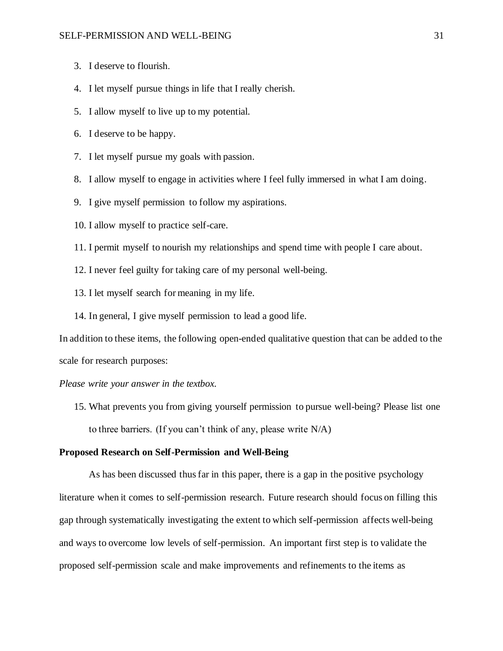- 3. I deserve to flourish.
- 4. I let myself pursue things in life that I really cherish.
- 5. I allow myself to live up to my potential.
- 6. I deserve to be happy.
- 7. I let myself pursue my goals with passion.
- 8. I allow myself to engage in activities where I feel fully immersed in what I am doing.
- 9. I give myself permission to follow my aspirations.
- 10. I allow myself to practice self-care.
- 11. I permit myself to nourish my relationships and spend time with people I care about.
- 12. I never feel guilty for taking care of my personal well-being.
- 13. I let myself search for meaning in my life.
- 14. In general, I give myself permission to lead a good life.

In addition to these items, the following open-ended qualitative question that can be added to the scale for research purposes:

*Please write your answer in the textbox.*

15. What prevents you from giving yourself permission to pursue well-being? Please list one to three barriers. (If you can't think of any, please write N/A)

#### <span id="page-32-0"></span>**Proposed Research on Self-Permission and Well-Being**

As has been discussed thus far in this paper, there is a gap in the positive psychology literature when it comes to self-permission research. Future research should focus on filling this gap through systematically investigating the extent to which self-permission affects well-being and ways to overcome low levels of self-permission. An important first step is to validate the proposed self-permission scale and make improvements and refinements to the items as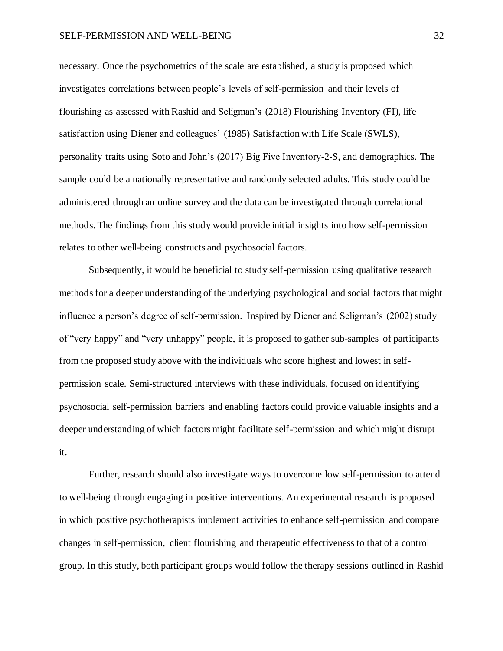#### SELF-PERMISSION AND WELL-BEING 32

necessary. Once the psychometrics of the scale are established, a study is proposed which investigates correlations between people's levels of self-permission and their levels of flourishing as assessed with Rashid and Seligman's (2018) Flourishing Inventory (FI), life satisfaction using Diener and colleagues' (1985) Satisfaction with Life Scale (SWLS), personality traits using Soto and John's (2017) Big Five Inventory-2-S, and demographics. The sample could be a nationally representative and randomly selected adults. This study could be administered through an online survey and the data can be investigated through correlational methods. The findings from this study would provide initial insights into how self-permission relates to other well-being constructs and psychosocial factors.

Subsequently, it would be beneficial to study self-permission using qualitative research methodsfor a deeper understanding of the underlying psychological and social factors that might influence a person's degree of self-permission. Inspired by Diener and Seligman's (2002) study of "very happy" and "very unhappy" people, it is proposed to gather sub-samples of participants from the proposed study above with the individuals who score highest and lowest in selfpermission scale. Semi-structured interviews with these individuals, focused on identifying psychosocial self-permission barriers and enabling factors could provide valuable insights and a deeper understanding of which factors might facilitate self-permission and which might disrupt it.

Further, research should also investigate ways to overcome low self-permission to attend to well-being through engaging in positive interventions. An experimental research is proposed in which positive psychotherapists implement activities to enhance self-permission and compare changes in self-permission, client flourishing and therapeutic effectiveness to that of a control group. In this study, both participant groups would follow the therapy sessions outlined in Rashid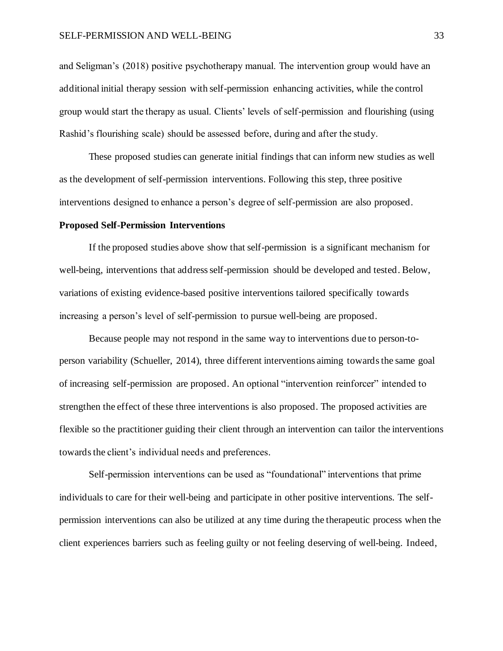#### SELF-PERMISSION AND WELL-BEING 33

and Seligman's (2018) positive psychotherapy manual. The intervention group would have an additional initial therapy session with self-permission enhancing activities, while the control group would start the therapy as usual. Clients' levels of self-permission and flourishing (using Rashid's flourishing scale) should be assessed before, during and after the study.

These proposed studies can generate initial findings that can inform new studies as well as the development of self-permission interventions. Following this step, three positive interventions designed to enhance a person's degree of self-permission are also proposed.

#### <span id="page-34-0"></span>**Proposed Self-Permission Interventions**

If the proposed studies above show that self-permission is a significant mechanism for well-being, interventions that address self-permission should be developed and tested. Below, variations of existing evidence-based positive interventions tailored specifically towards increasing a person's level of self-permission to pursue well-being are proposed.

Because people may not respond in the same way to interventions due to person-toperson variability (Schueller, 2014), three different interventions aiming towards the same goal of increasing self-permission are proposed. An optional "intervention reinforcer" intended to strengthen the effect of these three interventions is also proposed. The proposed activities are flexible so the practitioner guiding their client through an intervention can tailor the interventions towards the client's individual needs and preferences.

Self-permission interventions can be used as "foundational" interventions that prime individuals to care for their well-being and participate in other positive interventions. The selfpermission interventions can also be utilized at any time during the therapeutic process when the client experiences barriers such as feeling guilty or not feeling deserving of well-being. Indeed,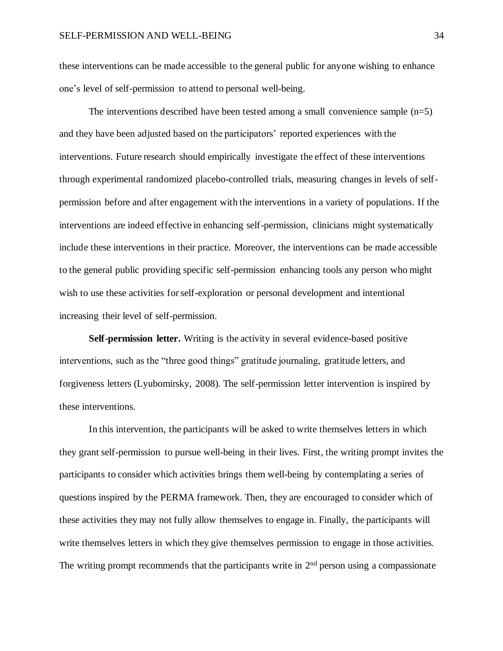these interventions can be made accessible to the general public for anyone wishing to enhance one's level of self-permission to attend to personal well-being.

The interventions described have been tested among a small convenience sample  $(n=5)$ and they have been adjusted based on the participators' reported experiences with the interventions. Future research should empirically investigate the effect of these interventions through experimental randomized placebo-controlled trials, measuring changes in levels of selfpermission before and after engagement with the interventions in a variety of populations. If the interventions are indeed effective in enhancing self-permission, clinicians might systematically include these interventions in their practice. Moreover, the interventions can be made accessible to the general public providing specific self-permission enhancing tools any person who might wish to use these activities for self-exploration or personal development and intentional increasing their level of self-permission.

**Self-permission letter.** Writing is the activity in several evidence-based positive interventions, such as the "three good things" gratitude journaling, gratitude letters, and forgiveness letters (Lyubomirsky, 2008). The self-permission letter intervention is inspired by these interventions.

In this intervention, the participants will be asked to write themselves letters in which they grant self-permission to pursue well-being in their lives. First, the writing prompt invites the participants to consider which activities brings them well-being by contemplating a series of questions inspired by the PERMA framework. Then, they are encouraged to consider which of these activities they may not fully allow themselves to engage in. Finally, the participants will write themselves letters in which they give themselves permission to engage in those activities. The writing prompt recommends that the participants write in  $2<sup>nd</sup>$  person using a compassionate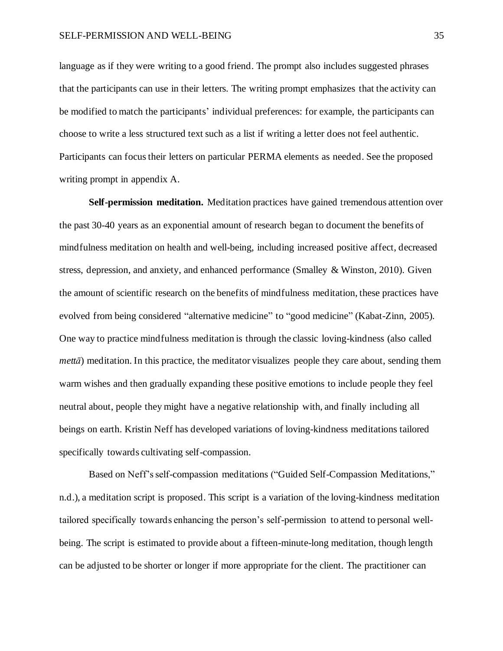language as if they were writing to a good friend. The prompt also includes suggested phrases that the participants can use in their letters. The writing prompt emphasizes that the activity can be modified to match the participants' individual preferences: for example, the participants can choose to write a less structured text such as a list if writing a letter does not feel authentic. Participants can focus their letters on particular PERMA elements as needed. See the proposed writing prompt in appendix A.

**Self-permission meditation.** Meditation practices have gained tremendous attention over the past 30-40 years as an exponential amount of research began to document the benefits of mindfulness meditation on health and well-being, including increased positive affect, decreased stress, depression, and anxiety, and enhanced performance (Smalley & Winston, 2010). Given the amount of scientific research on the benefits of mindfulness meditation, these practices have evolved from being considered "alternative medicine" to "good medicine" (Kabat-Zinn, 2005). One way to practice mindfulness meditation is through the classic loving-kindness (also called *mettā*) meditation. In this practice, the meditator visualizes people they care about, sending them warm wishes and then gradually expanding these positive emotions to include people they feel neutral about, people they might have a negative relationship with, and finally including all beings on earth. Kristin Neff has developed variations of loving-kindness meditations tailored specifically towards cultivating self-compassion.

Based on Neff's self-compassion meditations ("Guided Self-Compassion Meditations," n.d.), a meditation script is proposed. This script is a variation of the loving-kindness meditation tailored specifically towards enhancing the person's self-permission to attend to personal wellbeing. The script is estimated to provide about a fifteen-minute-long meditation, though length can be adjusted to be shorter or longer if more appropriate for the client. The practitioner can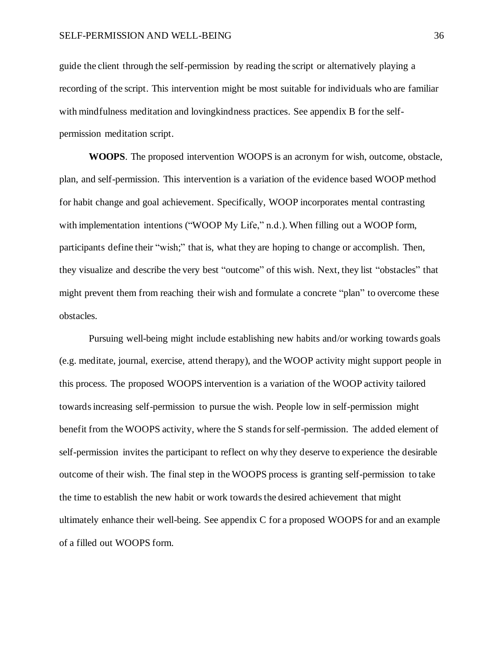guide the client through the self-permission by reading the script or alternatively playing a recording of the script. This intervention might be most suitable for individuals who are familiar with mindfulness meditation and lovingkindness practices. See appendix B for the selfpermission meditation script.

**WOOPS**. The proposed intervention WOOPS is an acronym for wish, outcome, obstacle, plan, and self-permission. This intervention is a variation of the evidence based WOOP method for habit change and goal achievement. Specifically, WOOP incorporates mental contrasting with implementation intentions ("WOOP My Life," n.d.). When filling out a WOOP form, participants define their "wish;" that is, what they are hoping to change or accomplish. Then, they visualize and describe the very best "outcome" of this wish. Next, they list "obstacles" that might prevent them from reaching their wish and formulate a concrete "plan" to overcome these obstacles.

Pursuing well-being might include establishing new habits and/or working towards goals (e.g. meditate, journal, exercise, attend therapy), and the WOOP activity might support people in this process. The proposed WOOPS intervention is a variation of the WOOP activity tailored towards increasing self-permission to pursue the wish. People low in self-permission might benefit from the WOOPS activity, where the S stands for self-permission. The added element of self-permission invites the participant to reflect on why they deserve to experience the desirable outcome of their wish. The final step in the WOOPS process is granting self-permission to take the time to establish the new habit or work towards the desired achievement that might ultimately enhance their well-being. See appendix C for a proposed WOOPS for and an example of a filled out WOOPS form.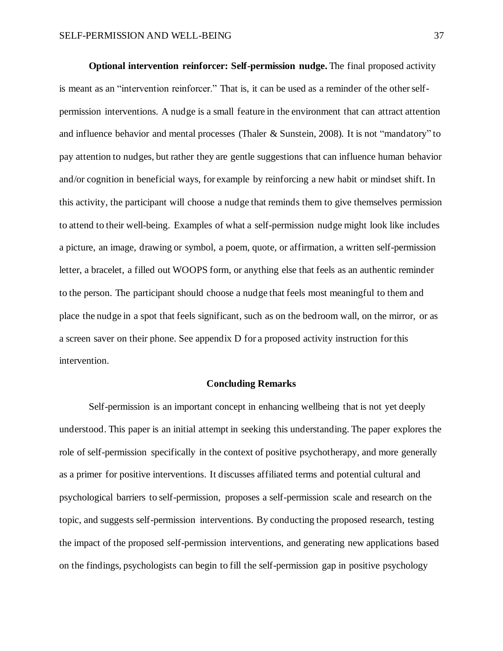**Optional intervention reinforcer: Self-permission nudge.** The final proposed activity is meant as an "intervention reinforcer." That is, it can be used as a reminder of the other selfpermission interventions. A nudge is a small feature in the environment that can attract attention and influence behavior and mental processes (Thaler & Sunstein, 2008). It is not "mandatory" to pay attention to nudges, but rather they are gentle suggestions that can influence human behavior and/or cognition in beneficial ways, for example by reinforcing a new habit or mindset shift. In this activity, the participant will choose a nudge that reminds them to give themselves permission to attend to their well-being. Examples of what a self-permission nudge might look like includes a picture, an image, drawing or symbol, a poem, quote, or affirmation, a written self-permission letter, a bracelet, a filled out WOOPS form, or anything else that feels as an authentic reminder to the person. The participant should choose a nudge that feels most meaningful to them and place the nudge in a spot that feels significant, such as on the bedroom wall, on the mirror, or as a screen saver on their phone. See appendix D for a proposed activity instruction for this intervention.

#### **Concluding Remarks**

<span id="page-38-0"></span>Self-permission is an important concept in enhancing wellbeing that is not yet deeply understood. This paper is an initial attempt in seeking this understanding. The paper explores the role of self-permission specifically in the context of positive psychotherapy, and more generally as a primer for positive interventions. It discusses affiliated terms and potential cultural and psychological barriers to self-permission, proposes a self-permission scale and research on the topic, and suggests self-permission interventions. By conducting the proposed research, testing the impact of the proposed self-permission interventions, and generating new applications based on the findings, psychologists can begin to fill the self-permission gap in positive psychology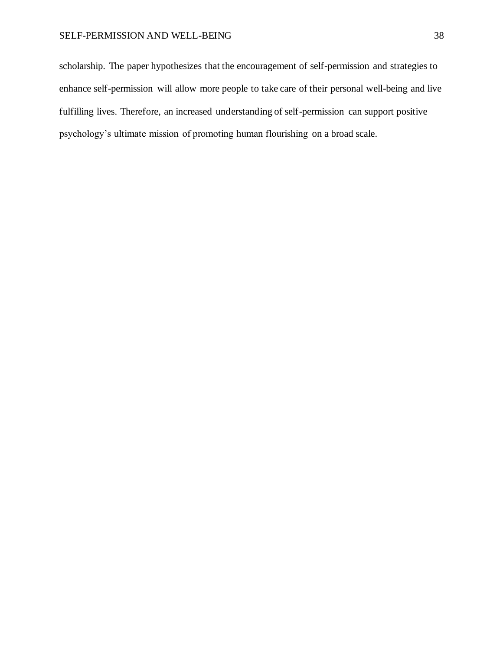#### SELF-PERMISSION AND WELL-BEING 38

scholarship. The paper hypothesizes that the encouragement of self-permission and strategies to enhance self-permission will allow more people to take care of their personal well-being and live fulfilling lives. Therefore, an increased understanding of self-permission can support positive psychology's ultimate mission of promoting human flourishing on a broad scale.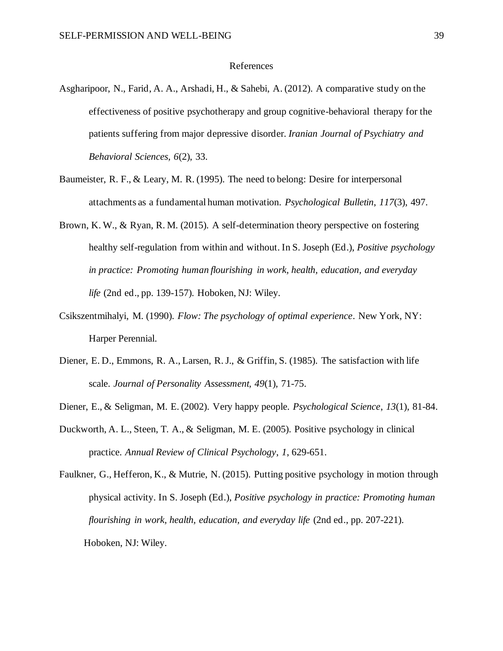#### References

- <span id="page-40-0"></span>Asgharipoor, N., Farid, A. A., Arshadi, H., & Sahebi, A. (2012). A comparative study on the effectiveness of positive psychotherapy and group cognitive-behavioral therapy for the patients suffering from major depressive disorder. *Iranian Journal of Psychiatry and Behavioral Sciences, 6*(2), 33.
- Baumeister, R. F., & Leary, M. R. (1995). The need to belong: Desire for interpersonal attachments as a fundamental human motivation. *Psychological Bulletin*, *117*(3), 497.
- Brown, K. W., & Ryan, R. M. (2015). A self-determination theory perspective on fostering healthy self-regulation from within and without. In S. Joseph (Ed.), *Positive psychology in practice: Promoting human flourishing in work, health, education, and everyday life* (2nd ed., pp. 139-157). Hoboken, NJ: Wiley.
- Csikszentmihalyi, M. (1990). *Flow: The psychology of optimal experience*. New York, NY: Harper Perennial.
- Diener, E. D., Emmons, R. A., Larsen, R. J., & Griffin, S. (1985). The satisfaction with life scale. *Journal of Personality Assessment, 49*(1), 71-75.
- Diener, E., & Seligman, M. E. (2002). Very happy people. *Psychological Science*, *13*(1), 81-84.
- Duckworth, A. L., Steen, T. A., & Seligman, M. E. (2005). Positive psychology in clinical practice. *Annual Review of Clinical Psychology*, *1*, 629-651.
- Faulkner, G., Hefferon, K., & Mutrie, N. (2015). Putting positive psychology in motion through physical activity. In S. Joseph (Ed.), *Positive psychology in practice: Promoting human flourishing in work, health, education, and everyday life* (2nd ed., pp. 207-221). Hoboken, NJ: Wiley.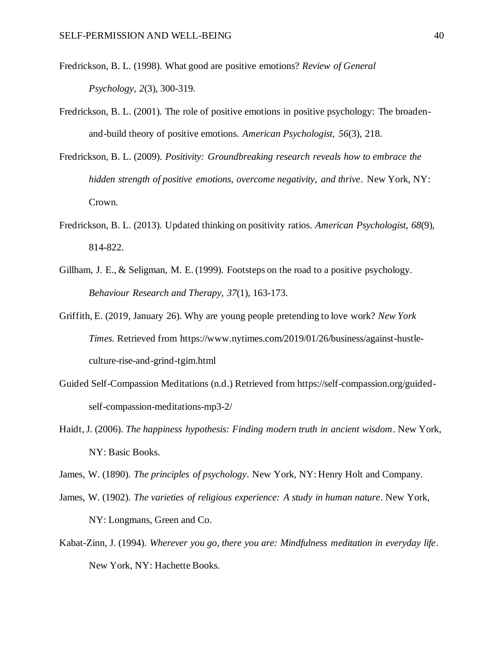- Fredrickson, B. L. (1998). What good are positive emotions? *Review of General Psychology*, *2*(3), 300-319.
- Fredrickson, B. L. (2001). The role of positive emotions in positive psychology: The broadenand-build theory of positive emotions. *American Psychologist*, *56*(3), 218.
- Fredrickson, B. L. (2009). *Positivity: Groundbreaking research reveals how to embrace the hidden strength of positive emotions, overcome negativity, and thrive*. New York, NY: Crown.
- Fredrickson, B. L. (2013). Updated thinking on positivity ratios. *American Psychologist*, *68*(9), 814-822.
- Gillham, J. E., & Seligman, M. E. (1999). Footsteps on the road to a positive psychology. *Behaviour Research and Therapy, 37*(1), 163-173.
- Griffith, E. (2019, January 26). Why are young people pretending to love work? *New York Times.* Retrieved from https://www.nytimes.com/2019/01/26/business/against-hustleculture-rise-and-grind-tgim.html
- Guided Self-Compassion Meditations (n.d.) Retrieved from https://self-compassion.org/guidedself-compassion-meditations-mp3-2/
- Haidt, J. (2006). *The happiness hypothesis: Finding modern truth in ancient wisdom*. New York, NY: Basic Books.

James, W. (1890). *The principles of psychology*. New York, NY: Henry Holt and Company.

- James, W. (1902). *The varieties of religious experience: A study in human nature*. New York, NY: Longmans, Green and Co.
- Kabat-Zinn, J. (1994). *Wherever you go, there you are: Mindfulness meditation in everyday life*. New York, NY: Hachette Books.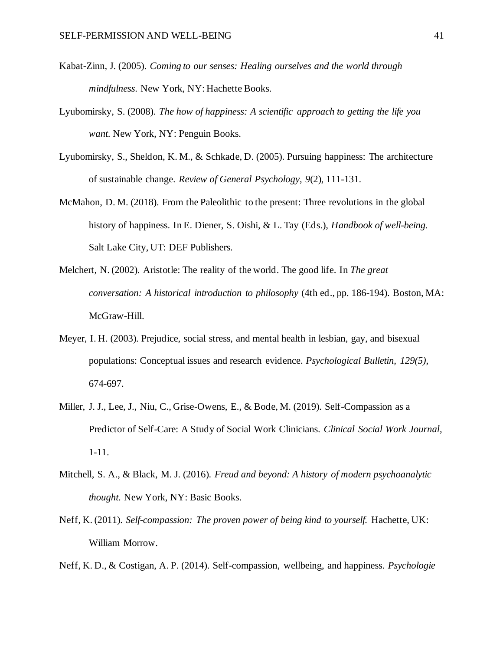- Kabat-Zinn, J. (2005). *Coming to our senses: Healing ourselves and the world through mindfulness*. New York, NY: Hachette Books.
- Lyubomirsky, S. (2008). *The how of happiness: A scientific approach to getting the life you want*. New York, NY: Penguin Books.
- Lyubomirsky, S., Sheldon, K. M., & Schkade, D. (2005). Pursuing happiness: The architecture of sustainable change. *Review of General Psychology*, *9*(2), 111-131.
- McMahon, D. M. (2018). From the Paleolithic to the present: Three revolutions in the global history of happiness. In E. Diener, S. Oishi, & L. Tay (Eds.), *Handbook of well-being.* Salt Lake City, UT: DEF Publishers.
- Melchert, N. (2002). Aristotle: The reality of the world. The good life. In *The great conversation: A historical introduction to philosophy* (4th ed., pp. 186-194). Boston, MA: McGraw-Hill.
- Meyer, I. H. (2003). Prejudice, social stress, and mental health in lesbian, gay, and bisexual populations: Conceptual issues and research evidence. *Psychological Bulletin, 129(5)*, 674-697.
- Miller, J. J., Lee, J., Niu, C., Grise-Owens, E., & Bode, M. (2019). Self-Compassion as a Predictor of Self-Care: A Study of Social Work Clinicians. *Clinical Social Work Journal*, 1-11.
- Mitchell, S. A., & Black, M. J. (2016). *Freud and beyond: A history of modern psychoanalytic thought*. New York, NY: Basic Books.
- Neff, K. (2011). *Self-compassion: The proven power of being kind to yourself.* Hachette, UK: William Morrow.
- Neff, K. D., & Costigan, A. P. (2014). Self-compassion, wellbeing, and happiness. *Psychologie*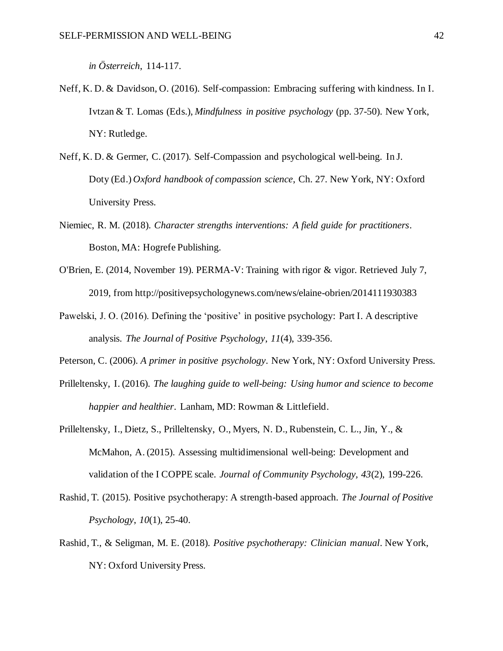*in Österreich*, 114-117.

- Neff, K. D. & Davidson, O. (2016). Self-compassion: Embracing suffering with kindness. In I. Ivtzan & T. Lomas (Eds.), *Mindfulness in positive psychology* (pp. 37-50). New York, NY: Rutledge.
- Neff, K. D. & Germer, C. (2017). Self-Compassion and psychological well-being. In J. Doty (Ed.) *Oxford handbook of compassion science*, Ch. 27. New York, NY: Oxford University Press.
- Niemiec, R. M. (2018). *Character strengths interventions: A field guide for practitioners*. Boston, MA: Hogrefe Publishing.
- O'Brien, E. (2014, November 19). PERMA-V: Training with rigor & vigor. Retrieved July 7, 2019, from http://positivepsychologynews.com/news/elaine-obrien/2014111930383
- Pawelski, J. O. (2016). Defining the 'positive' in positive psychology: Part I. A descriptive analysis. *The Journal of Positive Psychology*, *11*(4), 339-356.
- Peterson, C. (2006). *A primer in positive psychology*. New York, NY: Oxford University Press.
- Prilleltensky, I. (2016). *The laughing guide to well-being: Using humor and science to become happier and healthier*. Lanham, MD: Rowman & Littlefield.
- Prilleltensky, I., Dietz, S., Prilleltensky, O., Myers, N. D., Rubenstein, C. L., Jin, Y., & McMahon, A. (2015). Assessing multidimensional well-being: Development and validation of the I COPPE scale. *Journal of Community Psychology, 43*(2), 199-226.
- Rashid, T. (2015). Positive psychotherapy: A strength-based approach. *The Journal of Positive Psychology*, *10*(1), 25-40.
- Rashid, T., & Seligman, M. E. (2018). *Positive psychotherapy: Clinician manual*. New York, NY: Oxford University Press.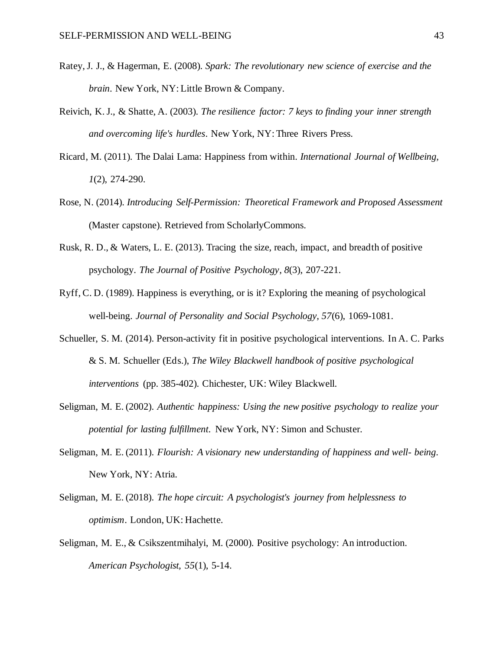- Ratey, J. J., & Hagerman, E. (2008). *Spark: The revolutionary new science of exercise and the brain*. New York, NY: Little Brown & Company.
- Reivich, K. J., & Shatte, A. (2003). *The resilience factor: 7 keys to finding your inner strength and overcoming life's hurdles*. New York, NY: Three Rivers Press.
- Ricard, M. (2011). The Dalai Lama: Happiness from within. *International Journal of Wellbeing, 1*(2), 274-290.
- Rose, N. (2014). *Introducing Self-Permission: Theoretical Framework and Proposed Assessment* (Master capstone). Retrieved from ScholarlyCommons.
- Rusk, R. D., & Waters, L. E. (2013). Tracing the size, reach, impact, and breadth of positive psychology. *The Journal of Positive Psychology*, *8*(3), 207-221.
- Ryff, C. D. (1989). Happiness is everything, or is it? Exploring the meaning of psychological well-being. *Journal of Personality and Social Psychology, 57*(6), 1069-1081.
- Schueller, S. M. (2014). Person-activity fit in positive psychological interventions. In A. C. Parks & S. M. Schueller (Eds.), *The Wiley Blackwell handbook of positive psychological interventions* (pp. 385-402). Chichester, UK: Wiley Blackwell.
- Seligman, M. E. (2002). *Authentic happiness: Using the new positive psychology to realize your potential for lasting fulfillment*. New York, NY: Simon and Schuster.
- Seligman, M. E. (2011). *Flourish: A visionary new understanding of happiness and well- being*. New York, NY: Atria.
- Seligman, M. E. (2018). *The hope circuit: A psychologist's journey from helplessness to optimism*. London, UK: Hachette.
- Seligman, M. E., & Csikszentmihalyi, M. (2000). Positive psychology: An introduction. *American Psychologist, 55*(1), 5-14.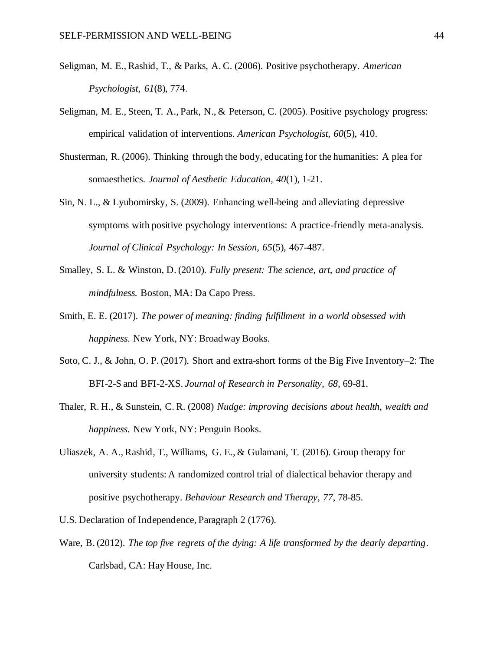- Seligman, M. E., Rashid, T., & Parks, A. C. (2006). Positive psychotherapy. *American Psychologist*, *61*(8), 774.
- Seligman, M. E., Steen, T. A., Park, N., & Peterson, C. (2005). Positive psychology progress: empirical validation of interventions. *American Psychologist*, *60*(5), 410.
- Shusterman, R. (2006). Thinking through the body, educating for the humanities: A plea for somaesthetics. *Journal of Aesthetic Education, 40*(1)*,* 1-21.
- Sin, N. L., & Lyubomirsky, S. (2009). Enhancing well-being and alleviating depressive symptoms with positive psychology interventions: A practice-friendly meta-analysis. *Journal of Clinical Psychology: In Session, 65*(5), 467-487.
- Smalley, S. L. & Winston, D. (2010). *Fully present: The science, art, and practice of mindfulness.* Boston, MA: Da Capo Press.
- Smith, E. E. (2017). *The power of meaning: finding fulfillment in a world obsessed with happiness*. New York, NY: Broadway Books.
- Soto, C. J., & John, O. P. (2017). Short and extra-short forms of the Big Five Inventory–2: The BFI-2-S and BFI-2-XS. *Journal of Research in Personality*, *68*, 69-81.
- Thaler, R. H., & Sunstein, C. R. (2008) *Nudge: improving decisions about health, wealth and happiness.* New York, NY: Penguin Books.
- Uliaszek, A. A., Rashid, T., Williams, G. E., & Gulamani, T. (2016). Group therapy for university students: A randomized control trial of dialectical behavior therapy and positive psychotherapy. *Behaviour Research and Therapy*, *77*, 78-85.
- U.S. Declaration of Independence, Paragraph 2 (1776).
- Ware, B. (2012). *The top five regrets of the dying: A life transformed by the dearly departing*. Carlsbad, CA: Hay House, Inc.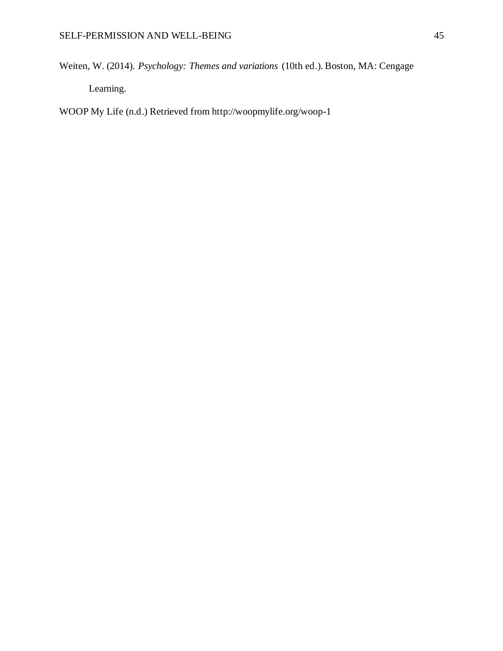Weiten, W. (2014). *Psychology: Themes and variations* (10th ed.). Boston, MA: Cengage

Learning.

WOOP My Life (n.d.) Retrieved from http://woopmylife.org/woop-1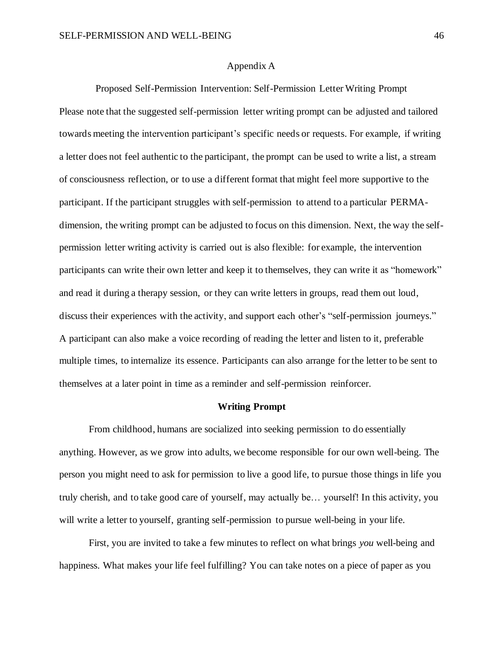#### Appendix A

<span id="page-47-0"></span>Proposed Self-Permission Intervention: Self-Permission Letter Writing Prompt Please note that the suggested self-permission letter writing prompt can be adjusted and tailored towards meeting the intervention participant's specific needs or requests. For example, if writing a letter does not feel authentic to the participant, the prompt can be used to write a list, a stream of consciousness reflection, or to use a different format that might feel more supportive to the participant. If the participant struggles with self-permission to attend to a particular PERMAdimension, the writing prompt can be adjusted to focus on this dimension. Next, the way the selfpermission letter writing activity is carried out is also flexible: for example, the intervention participants can write their own letter and keep it to themselves, they can write it as "homework" and read it during a therapy session, or they can write letters in groups, read them out loud, discuss their experiences with the activity, and support each other's "self-permission journeys." A participant can also make a voice recording of reading the letter and listen to it, preferable multiple times, to internalize its essence. Participants can also arrange for the letter to be sent to themselves at a later point in time as a reminder and self-permission reinforcer.

#### **Writing Prompt**

From childhood, humans are socialized into seeking permission to do essentially anything. However, as we grow into adults, we become responsible for our own well-being. The person you might need to ask for permission to live a good life, to pursue those things in life you truly cherish, and to take good care of yourself, may actually be… yourself! In this activity, you will write a letter to yourself, granting self-permission to pursue well-being in your life.

First, you are invited to take a few minutes to reflect on what brings *you* well-being and happiness. What makes your life feel fulfilling? You can take notes on a piece of paper as you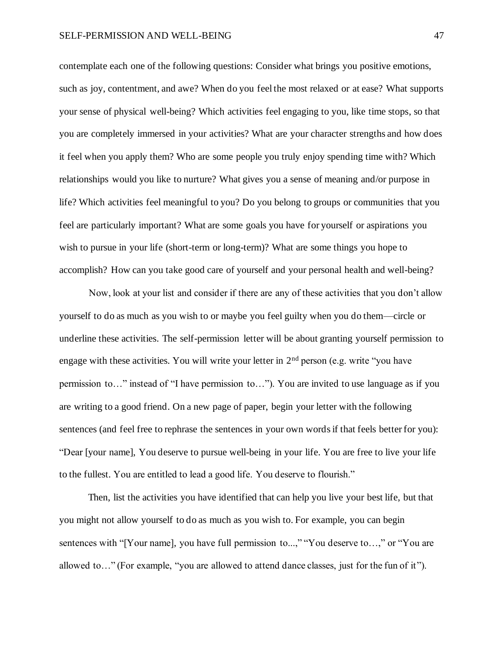contemplate each one of the following questions: Consider what brings you positive emotions, such as joy, contentment, and awe? When do you feel the most relaxed or at ease? What supports your sense of physical well-being? Which activities feel engaging to you, like time stops, so that you are completely immersed in your activities? What are your character strengths and how does it feel when you apply them? Who are some people you truly enjoy spending time with? Which relationships would you like to nurture? What gives you a sense of meaning and/or purpose in life? Which activities feel meaningful to you? Do you belong to groups or communities that you feel are particularly important? What are some goals you have for yourself or aspirations you wish to pursue in your life (short-term or long-term)? What are some things you hope to accomplish? How can you take good care of yourself and your personal health and well-being?

Now, look at your list and consider if there are any of these activities that you don't allow yourself to do as much as you wish to or maybe you feel guilty when you do them—circle or underline these activities. The self-permission letter will be about granting yourself permission to engage with these activities. You will write your letter in  $2<sup>nd</sup>$  person (e.g. write "you have permission to…" instead of "I have permission to…"). You are invited to use language as if you are writing to a good friend. On a new page of paper, begin your letter with the following sentences (and feel free to rephrase the sentences in your own words if that feels better for you): "Dear [your name], You deserve to pursue well-being in your life. You are free to live your life to the fullest. You are entitled to lead a good life. You deserve to flourish."

Then, list the activities you have identified that can help you live your best life, but that you might not allow yourself to do as much as you wish to. For example, you can begin sentences with "[Your name], you have full permission to...," "You deserve to...," or "You are allowed to…" (For example, "you are allowed to attend dance classes, just for the fun of it").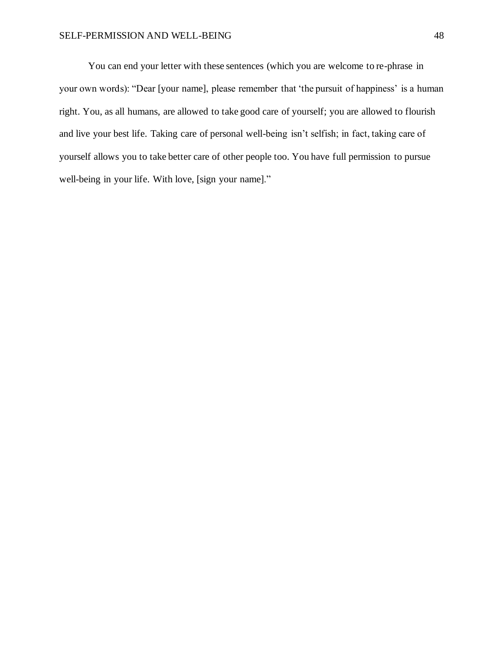You can end your letter with these sentences (which you are welcome to re-phrase in your own words): "Dear [your name], please remember that 'the pursuit of happiness' is a human right. You, as all humans, are allowed to take good care of yourself; you are allowed to flourish and live your best life. Taking care of personal well-being isn't selfish; in fact, taking care of yourself allows you to take better care of other people too. You have full permission to pursue well-being in your life. With love, [sign your name]."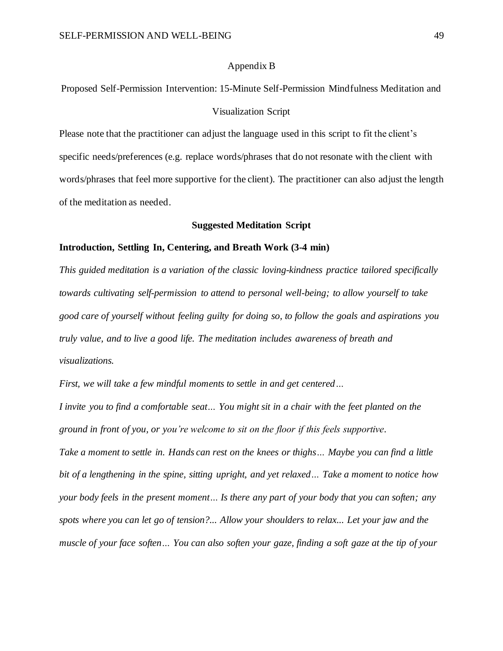#### Appendix B

## <span id="page-50-0"></span>Proposed Self-Permission Intervention: 15-Minute Self-Permission Mindfulness Meditation and Visualization Script

Please note that the practitioner can adjust the language used in this script to fit the client's specific needs/preferences (e.g. replace words/phrases that do not resonate with the client with words/phrases that feel more supportive for the client). The practitioner can also adjust the length of the meditation as needed.

#### **Suggested Meditation Script**

#### **Introduction, Settling In, Centering, and Breath Work (3-4 min)**

*This guided meditation is a variation of the classic loving-kindness practice tailored specifically towards cultivating self-permission to attend to personal well-being; to allow yourself to take good care of yourself without feeling guilty for doing so, to follow the goals and aspirations you truly value, and to live a good life. The meditation includes awareness of breath and visualizations.* 

*First, we will take a few mindful moments to settle in and get centered…*

*I invite you to find a comfortable seat… You might sit in a chair with the feet planted on the ground in front of you, or you're welcome to sit on the floor if this feels supportive. Take a moment to settle in. Hands can rest on the knees or thighs… Maybe you can find a little bit of a lengthening in the spine, sitting upright, and yet relaxed… Take a moment to notice how your body feels in the present moment… Is there any part of your body that you can soften; any spots where you can let go of tension?... Allow your shoulders to relax... Let your jaw and the muscle of your face soften… You can also soften your gaze, finding a soft gaze at the tip of your*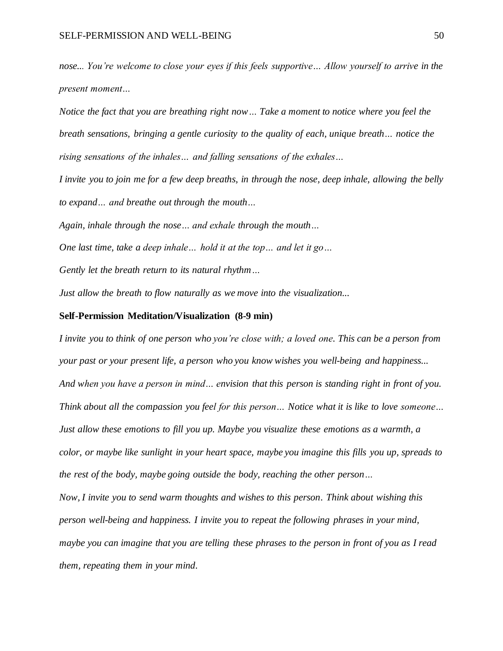*nose... You're welcome to close your eyes if this feels supportive… Allow yourself to arrive in the present moment…*

*Notice the fact that you are breathing right now… Take a moment to notice where you feel the breath sensations, bringing a gentle curiosity to the quality of each, unique breath… notice the rising sensations of the inhales… and falling sensations of the exhales…* 

*I invite you to join me for a few deep breaths, in through the nose, deep inhale, allowing the belly to expand… and breathe out through the mouth…*

*Again, inhale through the nose… and exhale through the mouth…*

*One last time, take a deep inhale… hold it at the top… and let it go…*

*Gently let the breath return to its natural rhythm…*

*Just allow the breath to flow naturally as we move into the visualization...* 

#### **Self-Permission Meditation/Visualization (8-9 min)**

*I invite you to think of one person who you're close with; a loved one. This can be a person from your past or your present life, a person who you know wishes you well-being and happiness... And when you have a person in mind… envision that this person is standing right in front of you. Think about all the compassion you feel for this person… Notice what it is like to love someone… Just allow these emotions to fill you up. Maybe you visualize these emotions as a warmth, a color, or maybe like sunlight in your heart space, maybe you imagine this fills you up, spreads to the rest of the body, maybe going outside the body, reaching the other person… Now, I invite you to send warm thoughts and wishes to this person. Think about wishing this person well-being and happiness. I invite you to repeat the following phrases in your mind,* 

*maybe you can imagine that you are telling these phrases to the person in front of you as I read them, repeating them in your mind.*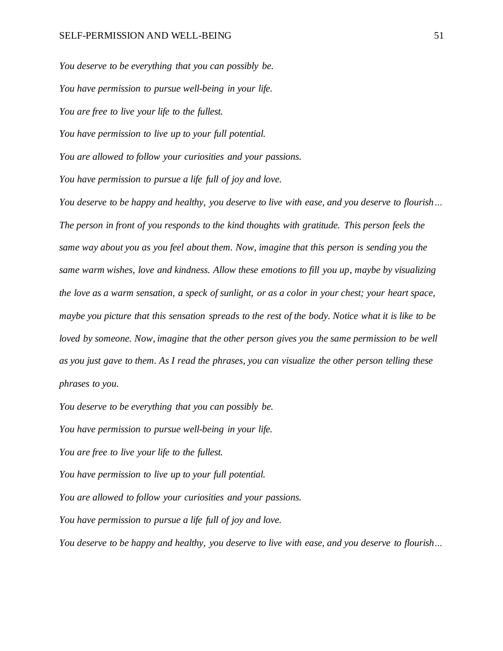*You deserve to be everything that you can possibly be. You have permission to pursue well-being in your life. You are free to live your life to the fullest. You have permission to live up to your full potential. You are allowed to follow your curiosities and your passions. You have permission to pursue a life full of joy and love. You deserve to be happy and healthy, you deserve to live with ease, and you deserve to flourish… The person in front of you responds to the kind thoughts with gratitude. This person feels the same way about you as you feel about them. Now, imagine that this person is sending you the same warm wishes, love and kindness. Allow these emotions to fill you up, maybe by visualizing the love as a warm sensation, a speck of sunlight, or as a color in your chest; your heart space, maybe you picture that this sensation spreads to the rest of the body. Notice what it is like to be loved by someone. Now, imagine that the other person gives you the same permission to be well as you just gave to them. As I read the phrases, you can visualize the other person telling these* 

*phrases to you.* 

*You deserve to be everything that you can possibly be.*

*You have permission to pursue well-being in your life.*

*You are free to live your life to the fullest.*

*You have permission to live up to your full potential.* 

*You are allowed to follow your curiosities and your passions.*

*You have permission to pursue a life full of joy and love.*

*You deserve to be happy and healthy, you deserve to live with ease, and you deserve to flourish…*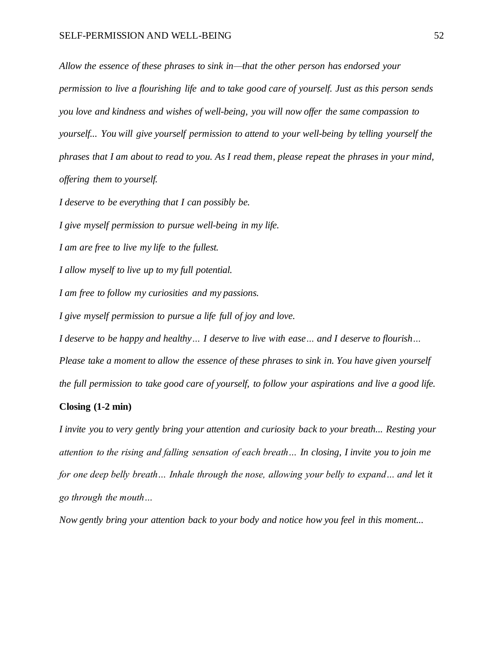*Allow the essence of these phrases to sink in—that the other person has endorsed your permission to live a flourishing life and to take good care of yourself. Just as this person sends you love and kindness and wishes of well-being, you will now offer the same compassion to yourself... You will give yourself permission to attend to your well-being by telling yourself the phrases that I am about to read to you. As I read them, please repeat the phrases in your mind, offering them to yourself.* 

*I deserve to be everything that I can possibly be.*

*I give myself permission to pursue well-being in my life.*

*I am are free to live my life to the fullest.*

*I allow myself to live up to my full potential.* 

*I am free to follow my curiosities and my passions.*

*I give myself permission to pursue a life full of joy and love.*

*I deserve to be happy and healthy… I deserve to live with ease… and I deserve to flourish… Please take a moment to allow the essence of these phrases to sink in. You have given yourself the full permission to take good care of yourself, to follow your aspirations and live a good life.* 

#### **Closing (1-2 min)**

*I invite you to very gently bring your attention and curiosity back to your breath... Resting your attention to the rising and falling sensation of each breath… In closing, I invite you to join me for one deep belly breath... Inhale through the nose, allowing your belly to expand... and let it go through the mouth…* 

*Now gently bring your attention back to your body and notice how you feel in this moment...*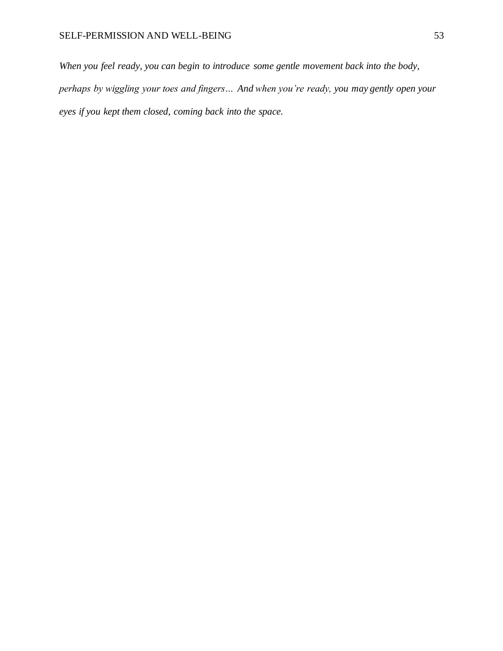## SELF-PERMISSION AND WELL-BEING 53

*When you feel ready, you can begin to introduce some gentle movement back into the body, perhaps by wiggling your toes and fingers… And when you're ready, you may gently open your eyes if you kept them closed, coming back into the space.*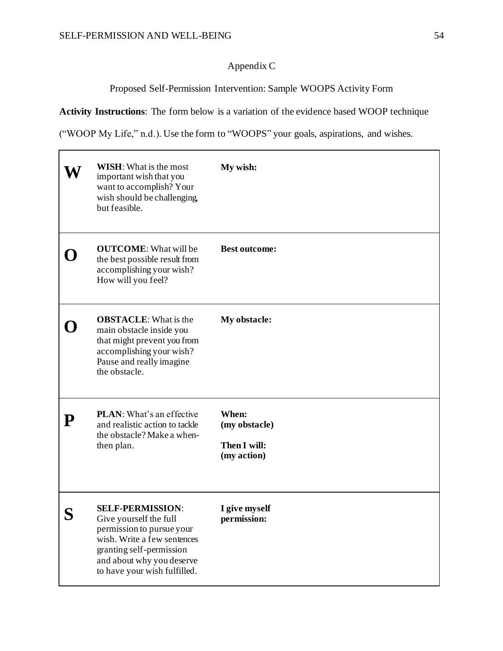$\Gamma$ 

## Appendix C

Proposed Self-Permission Intervention: Sample WOOPS Activity Form

<span id="page-55-0"></span>**Activity Instructions**: The form below is a variation of the evidence based WOOP technique

("WOOP My Life," n.d.). Use the form to "WOOPS" your goals, aspirations, and wishes.

|           | <b>WISH:</b> What is the most<br>important wish that you<br>want to accomplish? Your<br>wish should be challenging,<br>but feasible.                                                                   | My wish:                                              |
|-----------|--------------------------------------------------------------------------------------------------------------------------------------------------------------------------------------------------------|-------------------------------------------------------|
|           | <b>OUTCOME:</b> What will be<br>the best possible result from<br>accomplishing your wish?<br>How will you feel?                                                                                        | <b>Best outcome:</b>                                  |
|           | <b>OBSTACLE:</b> What is the<br>main obstacle inside you<br>that might prevent you from<br>accomplishing your wish?<br>Pause and really imagine<br>the obstacle.                                       | My obstacle:                                          |
| ${\bf P}$ | <b>PLAN:</b> What's an effective<br>and realistic action to tackle<br>the obstacle? Make a when-<br>then plan.                                                                                         | When:<br>(my obstacle)<br>Then I will:<br>(my action) |
| S         | <b>SELF-PERMISSION:</b><br>Give yourself the full<br>permission to pursue your<br>wish. Write a few sentences<br>granting self-permission<br>and about why you deserve<br>to have your wish fulfilled. | I give myself<br>permission:                          |

٦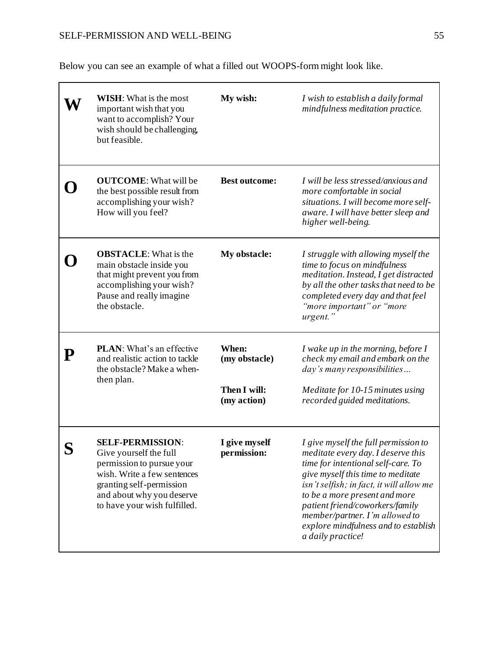Below you can see an example of what a filled out WOOPS-form might look like.

|                                                                                                                     | <b>WISH:</b> What is the most<br>important wish that you<br>want to accomplish? Your<br>wish should be challenging,<br>but feasible.                                                                   | My wish:                                                         | I wish to establish a daily formal<br>mindfulness meditation practice.                                                                                                                                                                                                                                                                                               |
|---------------------------------------------------------------------------------------------------------------------|--------------------------------------------------------------------------------------------------------------------------------------------------------------------------------------------------------|------------------------------------------------------------------|----------------------------------------------------------------------------------------------------------------------------------------------------------------------------------------------------------------------------------------------------------------------------------------------------------------------------------------------------------------------|
|                                                                                                                     | <b>OUTCOME:</b> What will be<br>the best possible result from<br>accomplishing your wish?<br>How will you feel?                                                                                        | <b>Best outcome:</b>                                             | I will be less stressed/anxious and<br>more comfortable in social<br>situations. I will become more self-<br>aware. I will have better sleep and<br>higher well-being.                                                                                                                                                                                               |
|                                                                                                                     | <b>OBSTACLE:</b> What is the<br>main obstacle inside you<br>that might prevent you from<br>accomplishing your wish?<br>Pause and really imagine<br>the obstacle.                                       | My obstacle:                                                     | I struggle with allowing myself the<br>time to focus on mindfulness<br>meditation. Instead, I get distracted<br>by all the other tasks that need to be<br>completed every day and that feel<br>"more important" or "more<br>urgent."                                                                                                                                 |
| <b>PLAN:</b> What's an effective<br>P<br>and realistic action to tackle<br>the obstacle? Make a when-<br>then plan. |                                                                                                                                                                                                        | When:<br>(my obstacle)                                           | I wake up in the morning, before I<br>check my email and embark on the<br>day's many responsibilities                                                                                                                                                                                                                                                                |
|                                                                                                                     | Then I will:<br>(my action)                                                                                                                                                                            | Meditate for 10-15 minutes using<br>recorded guided meditations. |                                                                                                                                                                                                                                                                                                                                                                      |
|                                                                                                                     | <b>SELF-PERMISSION:</b><br>Give yourself the full<br>permission to pursue your<br>wish. Write a few sentences<br>granting self-permission<br>and about why you deserve<br>to have your wish fulfilled. | I give myself<br>permission:                                     | I give myself the full permission to<br>meditate every day. I deserve this<br>time for intentional self-care. To<br>give myself this time to meditate<br>isn't selfish; in fact, it will allow me<br>to be a more present and more<br>patient friend/coworkers/family<br>member/partner. I'm allowed to<br>explore mindfulness and to establish<br>a daily practice! |